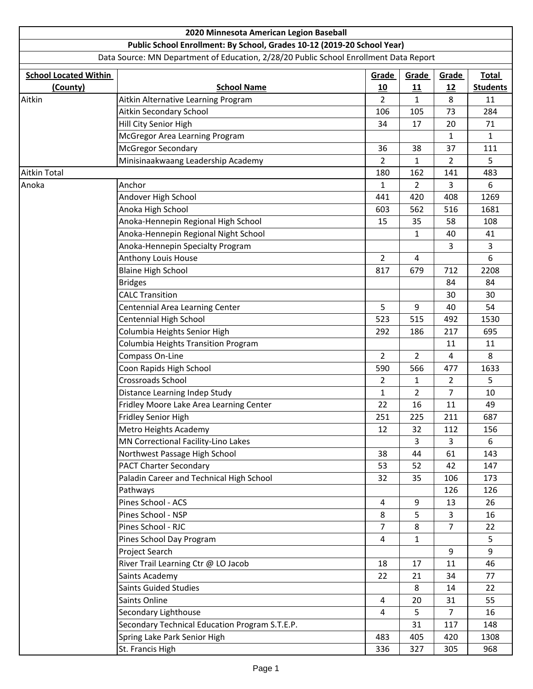|                              | 2020 Minnesota American Legion Baseball                                               |                         |                |     |                 |
|------------------------------|---------------------------------------------------------------------------------------|-------------------------|----------------|-----|-----------------|
|                              | Public School Enrollment: By School, Grades 10-12 (2019-20 School Year)               |                         |                |     |                 |
|                              | Data Source: MN Department of Education, 2/28/20 Public School Enrollment Data Report |                         |                |     |                 |
| <b>School Located Within</b> |                                                                                       | Grade<br>Grade<br>Grade |                |     | <b>Total</b>    |
| (County)                     | <b>School Name</b>                                                                    | 10                      | 11             | 12  | <b>Students</b> |
| Aitkin                       | Aitkin Alternative Learning Program                                                   | $\overline{2}$          | 1              | 8   | 11              |
|                              | Aitkin Secondary School                                                               | 106                     | 105            | 73  | 284             |
|                              | Hill City Senior High                                                                 | 34                      | 17             | 20  | 71              |
|                              | McGregor Area Learning Program                                                        |                         |                | 1   | $\mathbf{1}$    |
|                              | <b>McGregor Secondary</b>                                                             | 36                      | 38             | 37  | 111             |
|                              | Minisinaakwaang Leadership Academy                                                    | $\overline{2}$          | 1              | 2   | 5               |
| Aitkin Total                 |                                                                                       | 180                     | 162            | 141 | 483             |
| Anoka                        | Anchor                                                                                | $\mathbf{1}$            | $\overline{2}$ | 3   | 6               |
|                              | Andover High School                                                                   | 441                     | 420            | 408 | 1269            |
|                              | Anoka High School                                                                     | 603                     | 562            | 516 | 1681            |
|                              | Anoka-Hennepin Regional High School                                                   | 15                      | 35             | 58  | 108             |
|                              | Anoka-Hennepin Regional Night School                                                  |                         | 1              | 40  | 41              |
|                              | Anoka-Hennepin Specialty Program                                                      |                         |                | 3   | 3               |
|                              | Anthony Louis House                                                                   | $\overline{2}$          | $\overline{4}$ |     | 6               |
|                              | <b>Blaine High School</b>                                                             | 817                     | 679            | 712 | 2208            |
|                              | <b>Bridges</b>                                                                        |                         |                | 84  | 84              |
|                              | <b>CALC Transition</b>                                                                |                         |                | 30  | 30              |
|                              | Centennial Area Learning Center                                                       | 5                       | 9              | 40  | 54              |
|                              | Centennial High School                                                                | 523                     | 515            | 492 | 1530            |
|                              | Columbia Heights Senior High                                                          | 292                     | 186            | 217 | 695             |
|                              | Columbia Heights Transition Program                                                   |                         |                | 11  | 11              |
|                              | Compass On-Line                                                                       | $\overline{2}$          | $\overline{2}$ | 4   | 8               |
|                              | Coon Rapids High School                                                               | 590                     | 566            | 477 | 1633            |
|                              | Crossroads School                                                                     | $\overline{2}$          | 1              | 2   | 5               |
|                              | Distance Learning Indep Study                                                         | $\mathbf{1}$            | $\overline{2}$ | 7   | 10              |
|                              | Fridley Moore Lake Area Learning Center                                               | 22                      | 16             | 11  | 49              |
|                              | Fridley Senior High                                                                   | 251                     | 225            | 211 | 687             |
|                              | Metro Heights Academy                                                                 | 12                      | 32             | 112 | 156             |
|                              | MN Correctional Facility-Lino Lakes                                                   |                         | 3              | 3   | 6               |
|                              | Northwest Passage High School                                                         | 38                      | 44             | 61  | 143             |
|                              | <b>PACT Charter Secondary</b>                                                         | 53                      | 52             | 42  | 147             |
|                              | Paladin Career and Technical High School                                              | 32                      | 35             | 106 | 173             |
|                              | Pathways                                                                              |                         |                | 126 | 126             |
|                              | Pines School - ACS                                                                    | 4                       | 9              | 13  | 26              |
|                              | Pines School - NSP                                                                    | 8                       | 5              | 3   | 16              |
|                              | Pines School - RJC                                                                    | 7                       | 8              | 7   | 22              |
|                              | Pines School Day Program                                                              | 4                       | $\mathbf{1}$   |     | 5               |
|                              | Project Search                                                                        |                         |                | 9   | 9               |
|                              | River Trail Learning Ctr @ LO Jacob                                                   | 18                      | 17             | 11  | 46              |
|                              | Saints Academy                                                                        | 22                      | 21             | 34  | 77              |
|                              | <b>Saints Guided Studies</b>                                                          |                         | 8              | 14  | 22              |
|                              | Saints Online                                                                         | 4                       | 20             | 31  | 55              |
|                              | Secondary Lighthouse                                                                  | 4                       | 5              | 7   | 16              |
|                              | Secondary Technical Education Program S.T.E.P.                                        |                         | 31             | 117 | 148             |
|                              | Spring Lake Park Senior High                                                          | 483                     | 405            | 420 | 1308            |
|                              | St. Francis High                                                                      | 336                     | 327            | 305 | 968             |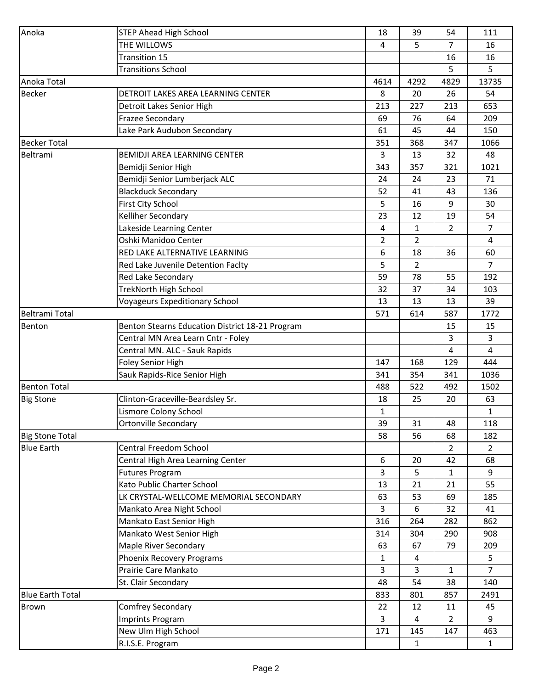| Anoka                   | <b>STEP Ahead High School</b>                   | 18           | 39             | 54             | 111            |
|-------------------------|-------------------------------------------------|--------------|----------------|----------------|----------------|
|                         | THE WILLOWS                                     | 4            | 5              | $\overline{7}$ | 16             |
|                         | Transition 15                                   |              |                | 16             | 16             |
|                         | <b>Transitions School</b>                       |              |                | 5              | 5              |
| Anoka Total             |                                                 | 4614         | 4292           | 4829           | 13735          |
| <b>Becker</b>           | DETROIT LAKES AREA LEARNING CENTER              | 8            | 20             | 26             | 54             |
|                         | Detroit Lakes Senior High                       | 213          | 227            | 213            | 653            |
|                         | <b>Frazee Secondary</b>                         | 69           | 76             | 64             | 209            |
|                         | Lake Park Audubon Secondary                     | 61           | 45             | 44             | 150            |
| <b>Becker Total</b>     |                                                 | 351          | 368            | 347            | 1066           |
| Beltrami                | <b>BEMIDJI AREA LEARNING CENTER</b>             | 3            | 13             | 32             | 48             |
|                         | Bemidji Senior High                             | 343          | 357            | 321            | 1021           |
|                         | Bemidji Senior Lumberjack ALC                   | 24           | 24             | 23             | 71             |
|                         | <b>Blackduck Secondary</b>                      | 52           | 41             | 43             | 136            |
|                         | <b>First City School</b>                        | 5            | 16             | 9              | 30             |
|                         | Kelliher Secondary                              | 23           | 12             | 19             | 54             |
|                         | Lakeside Learning Center                        | 4            | $\mathbf{1}$   | $\overline{2}$ | $\overline{7}$ |
|                         | Oshki Manidoo Center                            | 2            | 2              |                | 4              |
|                         | <b>RED LAKE ALTERNATIVE LEARNING</b>            | 6            | 18             | 36             | 60             |
|                         | Red Lake Juvenile Detention Faclty              | 5            | $\overline{2}$ |                | $\overline{7}$ |
|                         | Red Lake Secondary                              | 59           | 78             | 55             | 192            |
|                         | <b>TrekNorth High School</b>                    | 32           | 37             | 34             | 103            |
|                         | <b>Voyageurs Expeditionary School</b>           | 13           | 13             | 13             | 39             |
| <b>Beltrami Total</b>   |                                                 | 571          | 614            | 587            | 1772           |
| Benton                  | Benton Stearns Education District 18-21 Program |              |                | 15             | 15             |
|                         | Central MN Area Learn Cntr - Foley              |              |                | 3              | 3              |
|                         | Central MN. ALC - Sauk Rapids                   |              |                | 4              | $\overline{4}$ |
|                         | <b>Foley Senior High</b>                        | 147          | 168            | 129            | 444            |
|                         | Sauk Rapids-Rice Senior High                    | 341          | 354            | 341            | 1036           |
| <b>Benton Total</b>     |                                                 | 488          | 522            | 492            | 1502           |
| <b>Big Stone</b>        | Clinton-Graceville-Beardsley Sr.                | 18           | 25             | 20             | 63             |
|                         | Lismore Colony School                           | $\mathbf{1}$ |                |                | $\mathbf{1}$   |
|                         | <b>Ortonville Secondary</b>                     | 39           | 31             | 48             | 118            |
| <b>Big Stone Total</b>  |                                                 | 58           | 56             | 68             | 182            |
| <b>Blue Earth</b>       | Central Freedom School                          |              |                | $\overline{2}$ | $\overline{2}$ |
|                         | Central High Area Learning Center               | 6            | 20             | 42             | 68             |
|                         | <b>Futures Program</b>                          | 3            | 5              | 1              | 9              |
|                         | Kato Public Charter School                      | 13           | 21             | 21             | 55             |
|                         | LK CRYSTAL-WELLCOME MEMORIAL SECONDARY          | 63           | 53             | 69             | 185            |
|                         | Mankato Area Night School                       | 3            | 6              | 32             | 41             |
|                         | Mankato East Senior High                        | 316          | 264            | 282            | 862            |
|                         | Mankato West Senior High                        | 314          | 304            | 290            | 908            |
|                         | <b>Maple River Secondary</b>                    | 63           | 67             | 79             | 209            |
|                         | Phoenix Recovery Programs                       | $\mathbf{1}$ | 4              |                | 5              |
|                         | Prairie Care Mankato                            | 3            | 3              | 1              | $\overline{7}$ |
|                         | St. Clair Secondary                             | 48           | 54             | 38             | 140            |
| <b>Blue Earth Total</b> |                                                 | 833          | 801            | 857            | 2491           |
| <b>Brown</b>            | Comfrey Secondary                               | 22           | 12             | 11             | 45             |
|                         | <b>Imprints Program</b>                         | 3            | 4              | $\overline{2}$ | 9              |
|                         | New Ulm High School                             | 171          | 145            | 147            | 463            |
|                         | R.I.S.E. Program                                |              | 1              |                | $\mathbf{1}$   |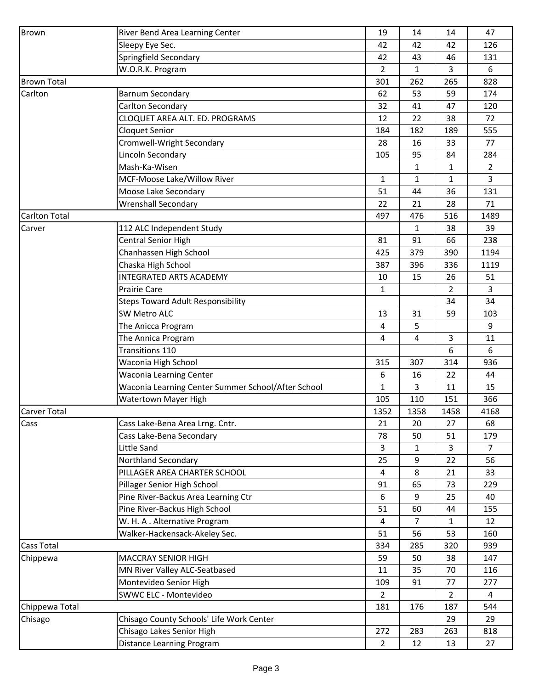| <b>Brown</b>                | River Bend Area Learning Center                    | 19             | 14          | 14             | 47             |
|-----------------------------|----------------------------------------------------|----------------|-------------|----------------|----------------|
|                             | Sleepy Eye Sec.                                    | 42             | 42          | 42             | 126            |
|                             | Springfield Secondary                              | 42             | 43          | 46             | 131            |
|                             | W.O.R.K. Program                                   | 2              | 1           | 3              | 6              |
| <b>Brown Total</b>          |                                                    | 301            | 262         | 265            | 828            |
| Carlton                     | <b>Barnum Secondary</b>                            | 62             | 53          | 59             | 174            |
|                             | Carlton Secondary                                  | 32             | 41          | 47             | 120            |
|                             | CLOQUET AREA ALT. ED. PROGRAMS                     | 12             | 22          | 38             | 72             |
|                             | <b>Cloquet Senior</b>                              | 184            | 182         | 189            | 555            |
|                             | Cromwell-Wright Secondary                          | 28             | 16          | 33             | 77             |
|                             | Lincoln Secondary                                  | 105            | 95          | 84             | 284            |
|                             | Mash-Ka-Wisen                                      |                | 1           | 1              | $\overline{2}$ |
|                             | MCF-Moose Lake/Willow River                        | $\mathbf{1}$   | 1           | $\mathbf{1}$   | 3              |
|                             | Moose Lake Secondary                               | 51             | 44          | 36             | 131            |
|                             | <b>Wrenshall Secondary</b>                         | 22             | 21          | 28             | 71             |
| <b>Carlton Total</b>        |                                                    | 497            | 476         | 516            | 1489           |
| Carver                      | 112 ALC Independent Study                          |                | $\mathbf 1$ | 38             | 39             |
|                             | <b>Central Senior High</b>                         | 81             | 91          | 66             | 238            |
|                             | Chanhassen High School                             | 425            | 379         | 390            | 1194           |
|                             | Chaska High School                                 | 387            | 396         | 336            | 1119           |
|                             | <b>INTEGRATED ARTS ACADEMY</b>                     | 10             | 15          | 26             | 51             |
|                             | <b>Prairie Care</b>                                | $\mathbf{1}$   |             | $\overline{2}$ | 3              |
|                             | <b>Steps Toward Adult Responsibility</b>           |                |             | 34             | 34             |
|                             | <b>SW Metro ALC</b>                                |                |             |                |                |
|                             |                                                    | 13<br>4        | 31          | 59             | 103<br>9       |
|                             | The Anicca Program                                 |                | 5           |                |                |
|                             | The Annica Program                                 | 4              | 4           | 3<br>6         | 11             |
|                             | Transitions 110                                    |                |             |                | 6              |
|                             | Waconia High School                                | 315            | 307         | 314            | 936            |
|                             | <b>Waconia Learning Center</b>                     | 6              | 16          | 22             | 44             |
|                             | Waconia Learning Center Summer School/After School | $\mathbf{1}$   | 3           | 11             | 15             |
|                             | Watertown Mayer High                               | 105            | 110         | 151            | 366            |
|                             |                                                    | 1352           | 1358        | 1458           | 4168           |
|                             | Cass Lake-Bena Area Lrng. Cntr.                    | 21             | 20          | 27             | 68             |
|                             | Cass Lake-Bena Secondary                           | 78             | 50          | 51             | 179            |
| <b>Carver Total</b><br>Cass | Little Sand                                        | 3              | 1           | 3              | $\overline{7}$ |
|                             | Northland Secondary                                | 25             | 9           | 22             | 56             |
|                             | PILLAGER AREA CHARTER SCHOOL                       | 4              | 8           | 21             | 33             |
|                             | Pillager Senior High School                        | 91             | 65          | 73             | 229            |
|                             | Pine River-Backus Area Learning Ctr                | 6              | 9           | 25             | 40             |
|                             | Pine River-Backus High School                      | 51             | 60          | 44             | 155            |
|                             | W. H. A. Alternative Program                       | 4              | 7           | $\mathbf{1}$   | 12             |
|                             | Walker-Hackensack-Akeley Sec.                      | 51             | 56          | 53             | 160            |
| <b>Cass Total</b>           |                                                    | 334            | 285         | 320            | 939            |
| Chippewa                    | <b>MACCRAY SENIOR HIGH</b>                         | 59             | 50          | 38             | 147            |
|                             | MN River Valley ALC-Seatbased                      | 11             | 35          | 70             | 116            |
|                             | Montevideo Senior High                             | 109            | 91          | 77             | 277            |
|                             | SWWC ELC - Montevideo                              | $\overline{2}$ |             | $\overline{2}$ | $\overline{4}$ |
| Chippewa Total              |                                                    | 181            | 176         | 187            | 544            |
| Chisago                     | Chisago County Schools' Life Work Center           |                |             | 29             | 29             |
|                             | Chisago Lakes Senior High                          | 272            | 283         | 263            | 818            |
|                             | Distance Learning Program                          | $\overline{2}$ | 12          | 13             | 27             |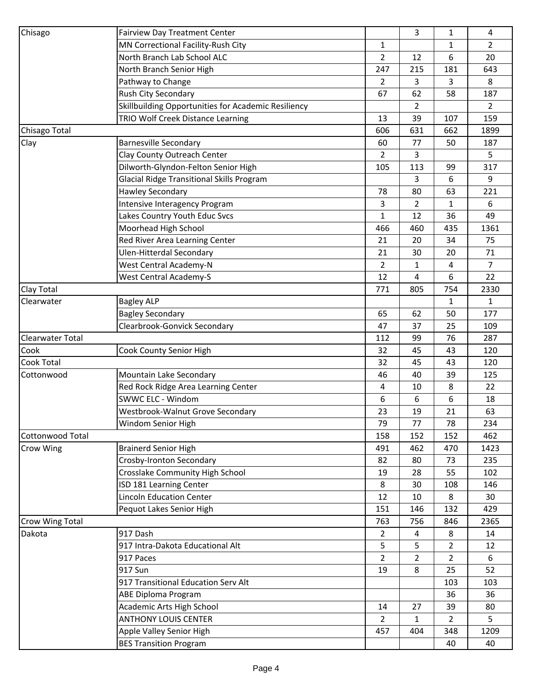|                         | <b>Fairview Day Treatment Center</b>                |                | 3              | 1              | 4              |
|-------------------------|-----------------------------------------------------|----------------|----------------|----------------|----------------|
|                         | MN Correctional Facility-Rush City                  | 1              |                | $\mathbf{1}$   | $\overline{2}$ |
|                         | North Branch Lab School ALC                         | $\overline{2}$ | 12             | 6              | 20             |
|                         | North Branch Senior High                            | 247            | 215            | 181            | 643            |
|                         | Pathway to Change                                   | $\overline{2}$ | 3              | 3              | 8              |
|                         | Rush City Secondary                                 | 67             | 62             | 58             | 187            |
|                         | Skillbuilding Opportunities for Academic Resiliency |                | $\overline{2}$ |                | $\overline{2}$ |
|                         | TRIO Wolf Creek Distance Learning                   | 13             | 39             | 107            | 159            |
| Chisago Total           |                                                     | 606            | 631            | 662            | 1899           |
| Clay                    | <b>Barnesville Secondary</b>                        | 60             | 77             | 50             | 187            |
|                         | Clay County Outreach Center                         | $\overline{2}$ | 3              |                | 5              |
| Chisago                 | Dilworth-Glyndon-Felton Senior High                 | 105            | 113            | 99             | 317            |
|                         | <b>Glacial Ridge Transitional Skills Program</b>    |                | 3              | 6              | 9              |
|                         | <b>Hawley Secondary</b>                             | 78             | 80             | 63             | 221            |
|                         | Intensive Interagency Program                       | 3              | $\overline{2}$ | 1              | 6              |
|                         | Lakes Country Youth Educ Svcs                       | 1              | 12             | 36             | 49             |
|                         | Moorhead High School                                | 466            | 460            | 435            | 1361           |
|                         | Red River Area Learning Center                      | 21             | 20             | 34             | 75             |
|                         | <b>Ulen-Hitterdal Secondary</b>                     | 21             | 30             | 20             | 71             |
|                         | West Central Academy-N                              | $\overline{2}$ | 1              | 4              | $\overline{7}$ |
|                         | <b>West Central Academy-S</b>                       | 12             | 4              | 6              | 22             |
| Clay Total              |                                                     | 771            | 805            | 754            | 2330           |
| Clearwater              | <b>Bagley ALP</b>                                   |                |                | 1              | $\mathbf{1}$   |
|                         | <b>Bagley Secondary</b>                             | 65             | 62             | 50             | 177            |
|                         | Clearbrook-Gonvick Secondary                        | 47             | 37             | 25             | 109            |
| <b>Clearwater Total</b> |                                                     | 112            | 99             | 76             | 287            |
| Cook                    | Cook County Senior High                             | 32             | 45             | 43             | 120            |
| Cook Total              |                                                     | 32             | 45             | 43             | 120            |
| Cottonwood              | Mountain Lake Secondary                             | 46             | 40             | 39             | 125            |
|                         | Red Rock Ridge Area Learning Center                 | 4              | 10             | 8              | 22             |
|                         | SWWC ELC - Windom                                   | 6              | 6              | 6              | 18             |
|                         | Westbrook-Walnut Grove Secondary                    | 23             | 19             | 21             | 63             |
|                         | Windom Senior High                                  | 79             | 77             | 78             | 234            |
| <b>Cottonwood Total</b> |                                                     | 158            | 152            | 152            | 462            |
| Crow Wing               | <b>Brainerd Senior High</b>                         | 491            | 462            | 470            | 1423           |
|                         | Crosby-Ironton Secondary                            | 82             | 80             | 73             | 235            |
|                         | Crosslake Community High School                     | 19             | 28             | 55             | 102            |
|                         | ISD 181 Learning Center                             | 8              | 30             | 108            | 146            |
|                         | <b>Lincoln Education Center</b>                     | 12             | 10             | 8              | 30             |
|                         | Pequot Lakes Senior High                            | 151            | 146            | 132            | 429            |
| Crow Wing Total         |                                                     | 763            | 756            | 846            | 2365           |
| Dakota                  | 917 Dash                                            | $\overline{2}$ | 4              | 8              | 14             |
|                         | 917 Intra-Dakota Educational Alt                    | 5              | 5              | $\overline{2}$ | 12             |
|                         | 917 Paces                                           | $\overline{2}$ | $\overline{2}$ | $\overline{2}$ | 6              |
|                         | 917 Sun                                             | 19             | 8              | 25             | 52             |
|                         | 917 Transitional Education Serv Alt                 |                |                | 103            | 103            |
|                         | ABE Diploma Program                                 |                |                | 36             | 36             |
|                         | Academic Arts High School                           | 14             | 27             | 39             | 80             |
|                         | <b>ANTHONY LOUIS CENTER</b>                         | $\overline{2}$ | 1              | $\overline{2}$ | 5              |
|                         | Apple Valley Senior High                            | 457            | 404            | 348            | 1209           |
|                         | <b>BES Transition Program</b>                       |                |                | 40             | 40             |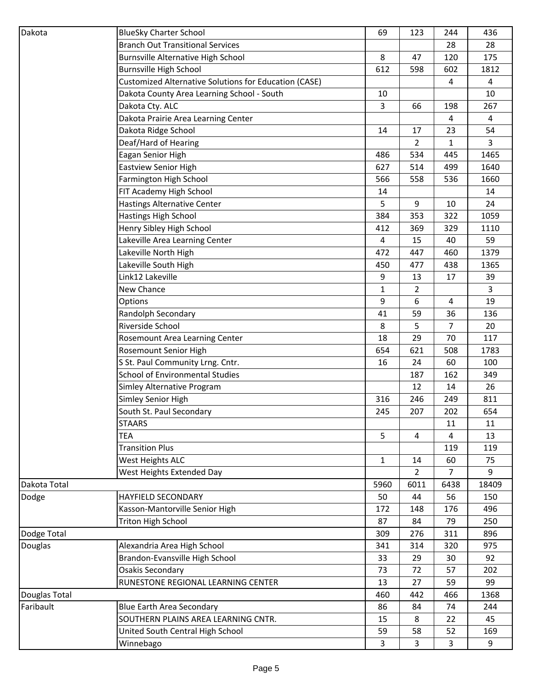| Dakota         | <b>BlueSky Charter School</b>                         | 69   | 123  | 244            | 436   |
|----------------|-------------------------------------------------------|------|------|----------------|-------|
|                | <b>Branch Out Transitional Services</b>               |      |      | 28             | 28    |
|                | Burnsville Alternative High School                    | 8    | 47   | 120            | 175   |
|                | <b>Burnsville High School</b>                         | 612  | 598  | 602            | 1812  |
|                | Customized Alternative Solutions for Education (CASE) |      |      | 4              | 4     |
|                | Dakota County Area Learning School - South            | 10   |      |                | 10    |
|                | Dakota Cty. ALC                                       | 3    | 66   | 198            | 267   |
|                | Dakota Prairie Area Learning Center                   |      |      | 4              | 4     |
|                | Dakota Ridge School                                   | 14   | 17   | 23             | 54    |
|                | Deaf/Hard of Hearing                                  |      | 2    | 1              | 3     |
|                | Eagan Senior High                                     | 486  | 534  | 445            | 1465  |
|                | <b>Eastview Senior High</b>                           | 627  | 514  | 499            | 1640  |
|                | Farmington High School                                | 566  | 558  | 536            | 1660  |
|                | FIT Academy High School                               | 14   |      |                | 14    |
|                | <b>Hastings Alternative Center</b>                    | 5    | 9    | 10             | 24    |
|                | Hastings High School                                  | 384  | 353  | 322            | 1059  |
|                | Henry Sibley High School                              | 412  | 369  | 329            | 1110  |
|                | Lakeville Area Learning Center                        | 4    | 15   | 40             | 59    |
|                |                                                       | 472  | 447  | 460            | 1379  |
|                | Lakeville North High                                  |      | 477  |                |       |
|                | Lakeville South High<br>Link12 Lakeville              | 450  |      | 438            | 1365  |
|                |                                                       | 9    | 13   | 17             | 39    |
|                | New Chance                                            | 1    | 2    |                | 3     |
|                | Options                                               | 9    | 6    | 4              | 19    |
|                | Randolph Secondary                                    | 41   | 59   | 36             | 136   |
|                | Riverside School                                      | 8    | 5    | $\overline{7}$ | 20    |
|                | Rosemount Area Learning Center                        | 18   | 29   | 70             | 117   |
|                | Rosemount Senior High                                 | 654  | 621  | 508            | 1783  |
|                | S St. Paul Community Lrng. Cntr.                      | 16   | 24   | 60             | 100   |
|                | <b>School of Environmental Studies</b>                |      | 187  | 162            | 349   |
|                | Simley Alternative Program                            |      | 12   | 14             | 26    |
|                | Simley Senior High                                    | 316  | 246  | 249            | 811   |
|                | South St. Paul Secondary                              | 245  | 207  | 202            | 654   |
|                | <b>STAARS</b>                                         |      |      | 11             | 11    |
|                | <b>TEA</b>                                            | 5    | 4    | 4              | 13    |
|                | <b>Transition Plus</b>                                |      |      | 119            | 119   |
|                | West Heights ALC                                      | 1    | 14   | 60             | 75    |
|                | West Heights Extended Day                             |      | 2    | $\overline{7}$ | 9     |
| Dakota Total   |                                                       | 5960 | 6011 | 6438           | 18409 |
| Dodge          | <b>HAYFIELD SECONDARY</b>                             | 50   | 44   | 56             | 150   |
|                | Kasson-Mantorville Senior High                        | 172  | 148  | 176            | 496   |
|                | <b>Triton High School</b>                             | 87   | 84   | 79             | 250   |
| Dodge Total    |                                                       | 309  | 276  | 311            | 896   |
| <b>Douglas</b> | Alexandria Area High School                           | 341  | 314  | 320            | 975   |
|                | Brandon-Evansville High School                        | 33   | 29   | 30             | 92    |
|                | Osakis Secondary                                      | 73   | 72   | 57             | 202   |
|                | RUNESTONE REGIONAL LEARNING CENTER                    | 13   | 27   | 59             | 99    |
| Douglas Total  |                                                       | 460  | 442  | 466            | 1368  |
| Faribault      | <b>Blue Earth Area Secondary</b>                      | 86   | 84   | 74             | 244   |
|                | SOUTHERN PLAINS AREA LEARNING CNTR.                   | 15   | 8    | 22             | 45    |
|                | United South Central High School                      | 59   | 58   | 52             | 169   |
|                | Winnebago                                             | 3    | 3    | 3              | 9     |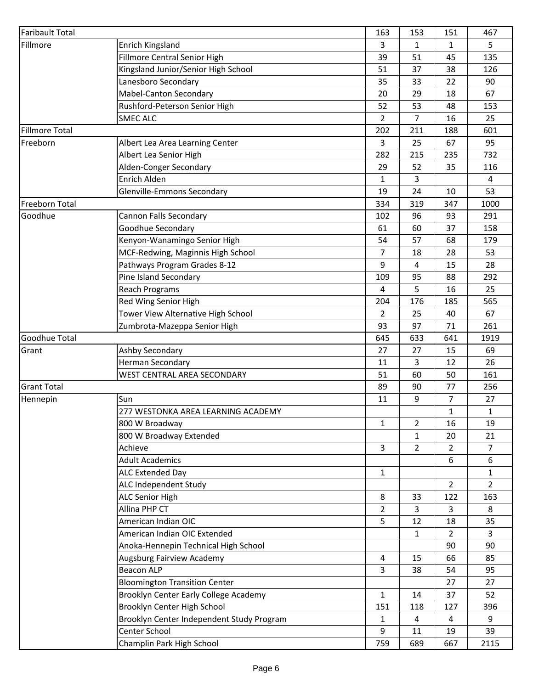| <b>Faribault Total</b>         |                                           | 163            | 153            | 151              | 467            |
|--------------------------------|-------------------------------------------|----------------|----------------|------------------|----------------|
| Fillmore                       | Enrich Kingsland                          | 3              | $\mathbf{1}$   | 1                | 5              |
|                                | Fillmore Central Senior High              | 39             | 51             | 45               | 135            |
|                                | Kingsland Junior/Senior High School       | 51             | 37             | 38               | 126            |
|                                | Lanesboro Secondary                       | 35             | 33             | 22               | 90             |
|                                | Mabel-Canton Secondary                    | 20             | 29             | 18               | 67             |
|                                | Rushford-Peterson Senior High             | 52             | 53             | 48               | 153            |
|                                | <b>SMEC ALC</b>                           | $\overline{2}$ | $\overline{7}$ | 16               | 25             |
| <b>Fillmore Total</b>          |                                           | 202            | 211            | 188              | 601            |
| Freeborn                       | Albert Lea Area Learning Center           | 3              | 25             | 67               | 95             |
|                                | Albert Lea Senior High                    | 282            | 215            | 235              | 732            |
|                                | Alden-Conger Secondary                    | 29             | 52             | 35               | 116            |
|                                | Enrich Alden                              | $\mathbf{1}$   | 3              |                  | $\overline{4}$ |
|                                | Glenville-Emmons Secondary                | 19             | 24             | 10               | 53             |
| Freeborn Total                 |                                           | 334            | 319            | 347              | 1000           |
| Goodhue                        | <b>Cannon Falls Secondary</b>             | 102            | 96             | 93               | 291            |
|                                | Goodhue Secondary                         | 61             | 60             | 37               | 158            |
|                                | Kenyon-Wanamingo Senior High              | 54             | 57             | 68               | 179            |
|                                | MCF-Redwing, Maginnis High School         | $\overline{7}$ | 18             | 28               | 53             |
|                                | Pathways Program Grades 8-12              | 9              | 4              | 15               | 28             |
|                                | Pine Island Secondary                     | 109            | 95             | 88               | 292            |
|                                | <b>Reach Programs</b>                     | $\overline{4}$ | 5              | 16               | 25             |
|                                | Red Wing Senior High                      | 204            | 176            | 185              | 565            |
|                                | Tower View Alternative High School        | 2              | 25             | 40               | 67             |
|                                | Zumbrota-Mazeppa Senior High              | 93             | 97             | 71               | 261            |
| Goodhue Total                  |                                           | 645            | 633            | 641              | 1919           |
| Grant                          | Ashby Secondary                           | 27             | 27             | 15               | 69             |
|                                | <b>Herman Secondary</b>                   | 11             | 3              | 12               | 26             |
|                                | WEST CENTRAL AREA SECONDARY               | 51             | 60             | 50               | 161            |
|                                |                                           | 89             | 90             | 77               | 256            |
|                                | Sun                                       | 11             | 9              | 7                | 27             |
|                                | 277 WESTONKA AREA LEARNING ACADEMY        |                |                | $\mathbf{1}$     | $\mathbf{1}$   |
| <b>Grant Total</b><br>Hennepin | 800 W Broadway                            | $\mathbf{1}$   | $\overline{2}$ | 16               | 19             |
|                                | 800 W Broadway Extended                   |                | $\mathbf{1}$   | 20               | 21             |
|                                | Achieve                                   | $\overline{3}$ | $\overline{2}$ | $\overline{2}$   | $\overline{7}$ |
|                                | <b>Adult Academics</b>                    |                |                | $\boldsymbol{6}$ | 6              |
|                                | ALC Extended Day                          | $\mathbf{1}$   |                |                  | $\mathbf{1}$   |
|                                | ALC Independent Study                     |                |                | $\overline{2}$   | $\overline{2}$ |
|                                | <b>ALC Senior High</b>                    | 8              | 33             | 122              | 163            |
|                                | Allina PHP CT                             | $\overline{2}$ | 3              | 3                | 8              |
|                                | American Indian OIC                       | 5              | 12             | 18               | 35             |
|                                | American Indian OIC Extended              |                | 1              | $\overline{2}$   | 3              |
|                                | Anoka-Hennepin Technical High School      |                |                | 90               | 90             |
|                                | Augsburg Fairview Academy                 | $\overline{4}$ | 15             | 66               | 85             |
|                                | <b>Beacon ALP</b>                         | 3              | 38             | 54               | 95             |
|                                | <b>Bloomington Transition Center</b>      |                |                | 27               | 27             |
|                                | Brooklyn Center Early College Academy     | $\mathbf{1}$   | 14             | 37               | 52             |
|                                | Brooklyn Center High School               | 151            | 118            | 127              | 396            |
|                                | Brooklyn Center Independent Study Program | $\mathbf{1}$   | 4              | 4                | 9              |
|                                | Center School                             | 9              | 11             | 19               | 39             |
|                                | Champlin Park High School                 | 759            | 689            | 667              | 2115           |
|                                |                                           |                |                |                  |                |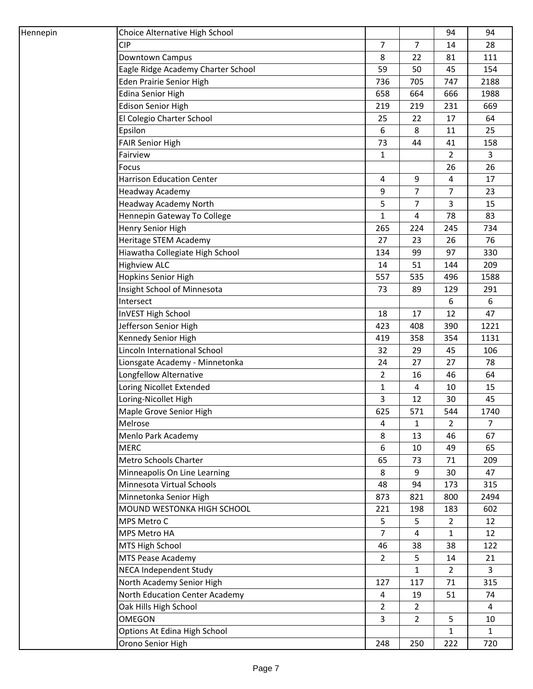| Hennepin                   | Choice Alternative High School     |                |                | 94             | 94             |
|----------------------------|------------------------------------|----------------|----------------|----------------|----------------|
| <b>CIP</b>                 |                                    | $\overline{7}$ | $\overline{7}$ | 14             | 28             |
| Downtown Campus            |                                    | 8              | 22             | 81             | 111            |
|                            | Eagle Ridge Academy Charter School | 59             | 50             | 45             | 154            |
|                            | <b>Eden Prairie Senior High</b>    | 736            | 705            | 747            | 2188           |
| <b>Edina Senior High</b>   |                                    | 658            | 664            | 666            | 1988           |
| <b>Edison Senior High</b>  |                                    | 219            | 219            | 231            | 669            |
|                            | El Colegio Charter School          | 25             | 22             | 17             | 64             |
| Epsilon                    |                                    | 6              | 8              | 11             | 25             |
| <b>FAIR Senior High</b>    |                                    | 73             | 44             | 41             | 158            |
| Fairview                   |                                    | $\mathbf{1}$   |                | $\overline{2}$ | 3              |
| Focus                      |                                    |                |                | 26             | 26             |
|                            | <b>Harrison Education Center</b>   | 4              | 9              | 4              | 17             |
| Headway Academy            |                                    | 9              | $\overline{7}$ | $\overline{7}$ | 23             |
|                            | Headway Academy North              | 5              | 7              | 3              | 15             |
|                            | Hennepin Gateway To College        | 1              | 4              | 78             | 83             |
| Henry Senior High          |                                    | 265            | 224            | 245            | 734            |
|                            | Heritage STEM Academy              | 27             | 23             | 26             | 76             |
|                            | Hiawatha Collegiate High School    | 134            | 99             | 97             | 330            |
| <b>Highview ALC</b>        |                                    | 14             | 51             | 144            | 209            |
| <b>Hopkins Senior High</b> |                                    | 557            | 535            | 496            | 1588           |
|                            | Insight School of Minnesota        | 73             | 89             | 129            | 291            |
| Intersect                  |                                    |                |                | 6              | 6              |
| InVEST High School         |                                    | 18             | 17             | 12             | 47             |
|                            | Jefferson Senior High              | 423            | 408            | 390            | 1221           |
|                            | Kennedy Senior High                | 419            | 358            | 354            | 1131           |
|                            | Lincoln International School       | 32             | 29             | 45             | 106            |
|                            | Lionsgate Academy - Minnetonka     | 24             | 27             | 27             | 78             |
|                            | Longfellow Alternative             | $\overline{2}$ | 16             | 46             | 64             |
|                            | Loring Nicollet Extended           | $\mathbf{1}$   | 4              | 10             | 15             |
| Loring-Nicollet High       |                                    | 3              | 12             | 30             | 45             |
|                            | Maple Grove Senior High            | 625            | 571            | 544            | 1740           |
| Melrose                    |                                    | $\overline{4}$ | 1              | $\overline{2}$ | 7              |
|                            | Menlo Park Academy                 | 8              | 13             | 46             | 67             |
| <b>MERC</b>                |                                    | 6              | 10             | 49             | 65             |
|                            | Metro Schools Charter              | 65             | 73             | 71             | 209            |
|                            | Minneapolis On Line Learning       | 8              | 9              | 30             | 47             |
|                            | Minnesota Virtual Schools          | 48             | 94             | 173            | 315            |
|                            | Minnetonka Senior High             | 873            | 821            | 800            | 2494           |
|                            | MOUND WESTONKA HIGH SCHOOL         | 221            | 198            | 183            | 602            |
| MPS Metro C                |                                    | 5              | 5              | $\overline{2}$ | 12             |
| MPS Metro HA               |                                    | $\overline{7}$ | 4              | 1              | 12             |
| MTS High School            |                                    | 46             | 38             | 38             | 122            |
|                            | MTS Pease Academy                  | $\overline{2}$ | 5              | 14             | 21             |
|                            | NECA Independent Study             |                | 1              | $\overline{2}$ | 3              |
|                            | North Academy Senior High          | 127            | 117            | 71             | 315            |
|                            | North Education Center Academy     | $\overline{4}$ | 19             | 51             | 74             |
|                            | Oak Hills High School              | $\overline{2}$ | $\overline{2}$ |                | $\overline{4}$ |
| <b>OMEGON</b>              |                                    | $\overline{3}$ | $\overline{2}$ | 5              | 10             |
|                            | Options At Edina High School       |                |                | $\mathbf{1}$   | $\mathbf{1}$   |
| Orono Senior High          |                                    | 248            | 250            | 222            | 720            |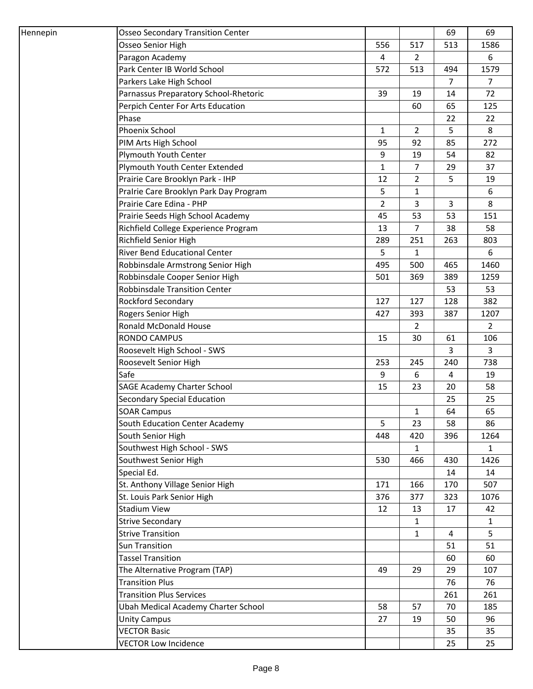| Hennepin | <b>Osseo Secondary Transition Center</b> |                |                | 69             | 69             |
|----------|------------------------------------------|----------------|----------------|----------------|----------------|
|          | Osseo Senior High                        | 556            | 517            | 513            | 1586           |
|          | Paragon Academy                          | 4              | $\overline{2}$ |                | 6              |
|          | Park Center IB World School              | 572            | 513            | 494            | 1579           |
|          | Parkers Lake High School                 |                |                | $\overline{7}$ | $\overline{7}$ |
|          | Parnassus Preparatory School-Rhetoric    | 39             | 19             | 14             | 72             |
|          | Perpich Center For Arts Education        |                | 60             | 65             | 125            |
|          | Phase                                    |                |                | 22             | 22             |
|          | Phoenix School                           | $\mathbf{1}$   | $\overline{2}$ | 5              | 8              |
|          | PIM Arts High School                     | 95             | 92             | 85             | 272            |
|          | Plymouth Youth Center                    | 9              | 19             | 54             | 82             |
|          | Plymouth Youth Center Extended           | $\mathbf{1}$   | $\overline{7}$ | 29             | 37             |
|          | Prairie Care Brooklyn Park - IHP         | 12             | $\overline{2}$ | 5              | 19             |
|          | Pralrie Care Brooklyn Park Day Program   | 5              | $\mathbf{1}$   |                | $6\,$          |
|          | Prairie Care Edina - PHP                 | $\overline{2}$ | 3              | 3              | 8              |
|          | Prairie Seeds High School Academy        | 45             | 53             | 53             | 151            |
|          | Richfield College Experience Program     | 13             | $\overline{7}$ | 38             | 58             |
|          | Richfield Senior High                    | 289            | 251            | 263            | 803            |
|          | <b>River Bend Educational Center</b>     | 5              | 1              |                | 6              |
|          | Robbinsdale Armstrong Senior High        | 495            | 500            | 465            | 1460           |
|          | Robbinsdale Cooper Senior High           | 501            | 369            | 389            | 1259           |
|          | Robbinsdale Transition Center            |                |                | 53             | 53             |
|          | Rockford Secondary                       | 127            | 127            | 128            | 382            |
|          | Rogers Senior High                       | 427            | 393            | 387            | 1207           |
|          | Ronald McDonald House                    |                | $\overline{2}$ |                | $\overline{2}$ |
|          | <b>RONDO CAMPUS</b>                      | 15             | 30             | 61             | 106            |
|          | Roosevelt High School - SWS              |                |                | 3              | 3              |
|          | Roosevelt Senior High                    | 253            | 245            | 240            | 738            |
|          | Safe                                     | 9              | 6              | 4              | 19             |
|          | <b>SAGE Academy Charter School</b>       | 15             | 23             | 20             | 58             |
|          | <b>Secondary Special Education</b>       |                |                | 25             | 25             |
|          | <b>SOAR Campus</b>                       |                | 1              | 64             | 65             |
|          | South Education Center Academy           | 5              | 23             | 58             | 86             |
|          | South Senior High                        | 448            | 420            | 396            | 1264           |
|          | Southwest High School - SWS              |                | $\mathbf{1}$   |                | $\mathbf{1}$   |
|          | Southwest Senior High                    | 530            | 466            | 430            | 1426           |
|          | Special Ed.                              |                |                | 14             | 14             |
|          | St. Anthony Village Senior High          | 171            | 166            | 170            | 507            |
|          | St. Louis Park Senior High               | 376            | 377            | 323            | 1076           |
|          | <b>Stadium View</b>                      | 12             | 13             | 17             | 42             |
|          | <b>Strive Secondary</b>                  |                | $\mathbf{1}$   |                | $\mathbf{1}$   |
|          | <b>Strive Transition</b>                 |                | 1              | $\overline{4}$ | 5              |
|          | <b>Sun Transition</b>                    |                |                | 51             | 51             |
|          | <b>Tassel Transition</b>                 |                |                | 60             | 60             |
|          | The Alternative Program (TAP)            | 49             | 29             | 29             | 107            |
|          | <b>Transition Plus</b>                   |                |                | 76             | 76             |
|          | <b>Transition Plus Services</b>          |                |                | 261            | 261            |
|          | Ubah Medical Academy Charter School      | 58             | 57             | 70             | 185            |
|          | <b>Unity Campus</b>                      | 27             | 19             | 50             | 96             |
|          | <b>VECTOR Basic</b>                      |                |                | 35             | 35             |
|          | <b>VECTOR Low Incidence</b>              |                |                | 25             | 25             |
|          |                                          |                |                |                |                |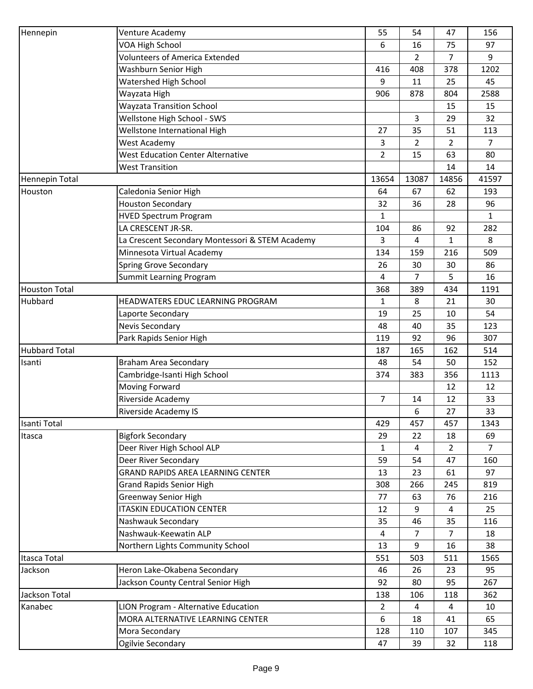| Hennepin             | Venture Academy                                 | 55             | 54             | 47             | 156            |
|----------------------|-------------------------------------------------|----------------|----------------|----------------|----------------|
|                      | VOA High School                                 | 6              | 16             | 75             | 97             |
|                      | <b>Volunteers of America Extended</b>           |                | $\overline{2}$ | $\overline{7}$ | 9              |
|                      | Washburn Senior High                            | 416            | 408            | 378            | 1202           |
|                      | Watershed High School                           | 9              | 11             | 25             | 45             |
|                      | Wayzata High                                    | 906            | 878            | 804            | 2588           |
|                      | <b>Wayzata Transition School</b>                |                |                | 15             | 15             |
|                      | Wellstone High School - SWS                     |                | 3              | 29             | 32             |
|                      | Wellstone International High                    | 27             | 35             | 51             | 113            |
|                      | West Academy                                    | 3              | $\overline{2}$ | $\overline{2}$ | $\overline{7}$ |
|                      | <b>West Education Center Alternative</b>        | $\overline{2}$ | 15             | 63             | 80             |
|                      | <b>West Transition</b>                          |                |                | 14             | 14             |
| Hennepin Total       |                                                 | 13654          | 13087          | 14856          | 41597          |
| Houston              | Caledonia Senior High                           | 64             | 67             | 62             | 193            |
|                      |                                                 |                |                |                |                |
|                      | <b>Houston Secondary</b>                        | 32             | 36             | 28             | 96             |
|                      | <b>HVED Spectrum Program</b>                    | $\mathbf{1}$   |                |                | $\mathbf{1}$   |
|                      | LA CRESCENT JR-SR.                              | 104            | 86             | 92             | 282            |
|                      | La Crescent Secondary Montessori & STEM Academy | 3              | 4              | 1              | 8              |
|                      | Minnesota Virtual Academy                       | 134            | 159            | 216            | 509            |
|                      | <b>Spring Grove Secondary</b>                   | 26             | 30             | 30             | 86             |
|                      | Summit Learning Program                         | 4              | 7              | 5              | 16             |
| <b>Houston Total</b> |                                                 | 368            | 389            | 434            | 1191           |
| Hubbard              | HEADWATERS EDUC LEARNING PROGRAM                | $\mathbf{1}$   | 8              | 21             | 30             |
|                      | Laporte Secondary                               | 19             | 25             | 10             | 54             |
|                      | Nevis Secondary                                 | 48             | 40             | 35             | 123            |
|                      | Park Rapids Senior High                         | 119            | 92             | 96             | 307            |
|                      |                                                 | 187            | 165            | 162            | 514            |
| Isanti               | Braham Area Secondary                           | 48             | 54             | 50             | 152            |
| <b>Hubbard Total</b> | Cambridge-Isanti High School                    | 374            | 383            | 356            | 1113           |
|                      | Moving Forward                                  |                |                | 12             | 12             |
|                      | Riverside Academy                               | $\overline{7}$ | 14             | 12             | 33             |
|                      | <b>Riverside Academy IS</b>                     |                | 6              | 27             | 33             |
| Isanti Total         |                                                 | 429            | 457            | 457            | 1343           |
| Itasca               | <b>Bigfork Secondary</b>                        | 29             | 22             | 18             | 69             |
|                      | Deer River High School ALP                      | $\mathbf{1}$   | 4              | $\overline{2}$ | $\overline{7}$ |
|                      | Deer River Secondary                            | 59             | 54             | 47             | 160            |
|                      | <b>GRAND RAPIDS AREA LEARNING CENTER</b>        | 13             | 23             | 61             | 97             |
|                      | <b>Grand Rapids Senior High</b>                 | 308            | 266            | 245            | 819            |
|                      | <b>Greenway Senior High</b>                     | 77             | 63             | 76             | 216            |
|                      | <b>ITASKIN EDUCATION CENTER</b>                 | 12             | 9              | 4              | 25             |
|                      | Nashwauk Secondary                              | 35             | 46             | 35             | 116            |
|                      | Nashwauk-Keewatin ALP                           | $\overline{4}$ | 7              | 7              | 18             |
|                      | Northern Lights Community School                | 13             | 9              | 16             | 38             |
| Itasca Total         |                                                 | 551            | 503            | 511            | 1565           |
| Jackson              | Heron Lake-Okabena Secondary                    | 46             | 26             | 23             | 95             |
|                      | Jackson County Central Senior High              | 92             | 80             | 95             | 267            |
| Jackson Total        |                                                 | 138            | 106            | 118            | 362            |
| Kanabec              | LION Program - Alternative Education            | $\overline{2}$ | 4              | 4              | 10             |
|                      | MORA ALTERNATIVE LEARNING CENTER                | 6              | 18             | 41             | 65             |
|                      | Mora Secondary                                  | 128            | 110            | 107            | 345            |
|                      | Ogilvie Secondary                               | 47             | 39             | 32             | 118            |
|                      |                                                 |                |                |                |                |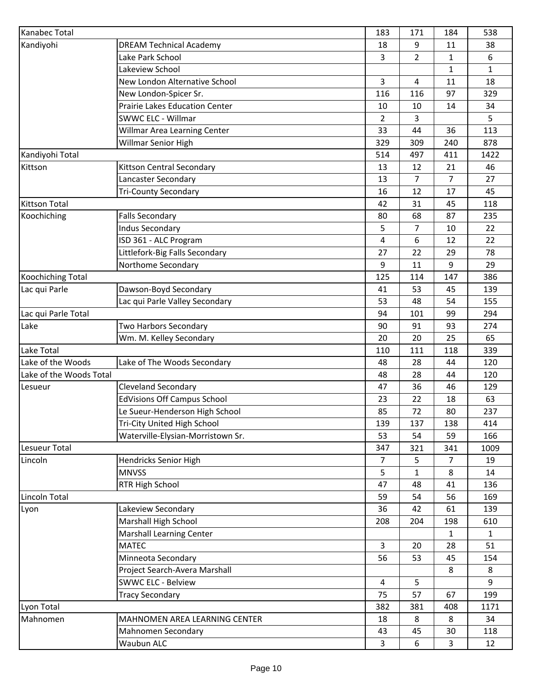| Kanabec Total<br>Kandiyohi<br><b>DREAM Technical Academy</b><br>Lake Park School<br>Lakeview School<br>New London Alternative School<br>New London-Spicer Sr.<br><b>Prairie Lakes Education Center</b><br>SWWC ELC - Willmar<br>Willmar Area Learning Center<br>Willmar Senior High |                                    | 183            | 171            | 184            | 538          |
|-------------------------------------------------------------------------------------------------------------------------------------------------------------------------------------------------------------------------------------------------------------------------------------|------------------------------------|----------------|----------------|----------------|--------------|
|                                                                                                                                                                                                                                                                                     |                                    | 18             | 9              | 11             | 38           |
|                                                                                                                                                                                                                                                                                     |                                    | 3              | $\overline{2}$ | $\mathbf{1}$   | 6            |
|                                                                                                                                                                                                                                                                                     |                                    |                |                | $\mathbf{1}$   | $\mathbf{1}$ |
|                                                                                                                                                                                                                                                                                     |                                    | $\overline{3}$ | 4              | 11             | 18           |
|                                                                                                                                                                                                                                                                                     |                                    | 116            | 116            | 97             | 329          |
|                                                                                                                                                                                                                                                                                     |                                    | 10             | 10             | 14             | 34           |
|                                                                                                                                                                                                                                                                                     |                                    | $\overline{2}$ | 3              |                | 5            |
|                                                                                                                                                                                                                                                                                     |                                    | 33             | 44             | 36             | 113          |
|                                                                                                                                                                                                                                                                                     |                                    | 329            | 309            | 240            | 878          |
| Kandiyohi Total                                                                                                                                                                                                                                                                     |                                    | 514            | 497            | 411            | 1422         |
| Kittson                                                                                                                                                                                                                                                                             | Kittson Central Secondary          | 13             | 12             | 21             | 46           |
|                                                                                                                                                                                                                                                                                     | Lancaster Secondary                | 13             | 7              | $\overline{7}$ | 27           |
|                                                                                                                                                                                                                                                                                     | <b>Tri-County Secondary</b>        | 16             | 12             | 17             | 45           |
| <b>Kittson Total</b>                                                                                                                                                                                                                                                                |                                    | 42             | 31             | 45             | 118          |
| Koochiching                                                                                                                                                                                                                                                                         | <b>Falls Secondary</b>             | 80             | 68             | 87             | 235          |
|                                                                                                                                                                                                                                                                                     | <b>Indus Secondary</b>             | 5              | $\overline{7}$ | 10             | 22           |
|                                                                                                                                                                                                                                                                                     | ISD 361 - ALC Program              | $\overline{4}$ | 6              | 12             | 22           |
|                                                                                                                                                                                                                                                                                     | Littlefork-Big Falls Secondary     | 27             | 22             | 29             | 78           |
|                                                                                                                                                                                                                                                                                     | Northome Secondary                 | 9              | 11             | 9              | 29           |
| <b>Koochiching Total</b>                                                                                                                                                                                                                                                            |                                    |                | 114            | 147            | 386          |
| Lac qui Parle                                                                                                                                                                                                                                                                       | Dawson-Boyd Secondary              | 41             | 53             | 45             | 139          |
|                                                                                                                                                                                                                                                                                     | Lac qui Parle Valley Secondary     | 53             | 48             | 54             | 155          |
| Lac qui Parle Total                                                                                                                                                                                                                                                                 |                                    | 94             | 101            | 99             | 294          |
| Lake                                                                                                                                                                                                                                                                                | <b>Two Harbors Secondary</b>       | 90             | 91             | 93             | 274          |
|                                                                                                                                                                                                                                                                                     | Wm. M. Kelley Secondary            | 20             | 20             | 25             | 65           |
| Lake Total                                                                                                                                                                                                                                                                          |                                    | 110            | 111            | 118            | 339          |
| Lake of the Woods                                                                                                                                                                                                                                                                   | Lake of The Woods Secondary        | 48             | 28             | 44             | 120          |
|                                                                                                                                                                                                                                                                                     |                                    | 48             | 28             | 44             | 120          |
| Lesueur                                                                                                                                                                                                                                                                             | <b>Cleveland Secondary</b>         | 47             | 36             | 46             | 129          |
| Lake of the Woods Total                                                                                                                                                                                                                                                             | <b>EdVisions Off Campus School</b> | 23             | 22             | 18             | 63           |
|                                                                                                                                                                                                                                                                                     | Le Sueur-Henderson High School     | 85             | 72             | 80             | 237          |
|                                                                                                                                                                                                                                                                                     | Tri-City United High School        | 139            | 137            | 138            | 414          |
|                                                                                                                                                                                                                                                                                     | Waterville-Elysian-Morristown Sr.  | 53             | 54             | 59             | 166          |
| Lesueur Total                                                                                                                                                                                                                                                                       |                                    | 347            | 321            | 341            | 1009         |
| Lincoln                                                                                                                                                                                                                                                                             | Hendricks Senior High              | 7              | 5              | 7              | 19           |
|                                                                                                                                                                                                                                                                                     | <b>MNVSS</b>                       | 5              | 1              | 8              | 14           |
|                                                                                                                                                                                                                                                                                     | RTR High School                    | 47             | 48             | 41             | 136          |
| Lincoln Total                                                                                                                                                                                                                                                                       |                                    | 59             | 54             | 56             | 169          |
| Lyon                                                                                                                                                                                                                                                                                | Lakeview Secondary                 | 36             | 42             | 61             | 139          |
|                                                                                                                                                                                                                                                                                     | <b>Marshall High School</b>        | 208            | 204            | 198            | 610          |
|                                                                                                                                                                                                                                                                                     | Marshall Learning Center           |                |                | 1              | $\mathbf{1}$ |
|                                                                                                                                                                                                                                                                                     | <b>MATEC</b>                       | $\overline{3}$ | 20             | 28             | 51           |
|                                                                                                                                                                                                                                                                                     | Minneota Secondary                 | 56             | 53             | 45             | 154          |
|                                                                                                                                                                                                                                                                                     | Project Search-Avera Marshall      |                |                | 8              | 8            |
|                                                                                                                                                                                                                                                                                     | <b>SWWC ELC - Belview</b>          | 4              | 5              |                | 9            |
|                                                                                                                                                                                                                                                                                     | <b>Tracy Secondary</b>             | 75             | 57             | 67             | 199          |
| Lyon Total                                                                                                                                                                                                                                                                          |                                    | 382            | 381            | 408            | 1171         |
| Mahnomen                                                                                                                                                                                                                                                                            | MAHNOMEN AREA LEARNING CENTER      | 18             | 8              | 8              | 34           |
|                                                                                                                                                                                                                                                                                     | Mahnomen Secondary                 | 43             | 45             | 30             | 118          |
|                                                                                                                                                                                                                                                                                     | Waubun ALC                         | 3              | 6              | 3              | 12           |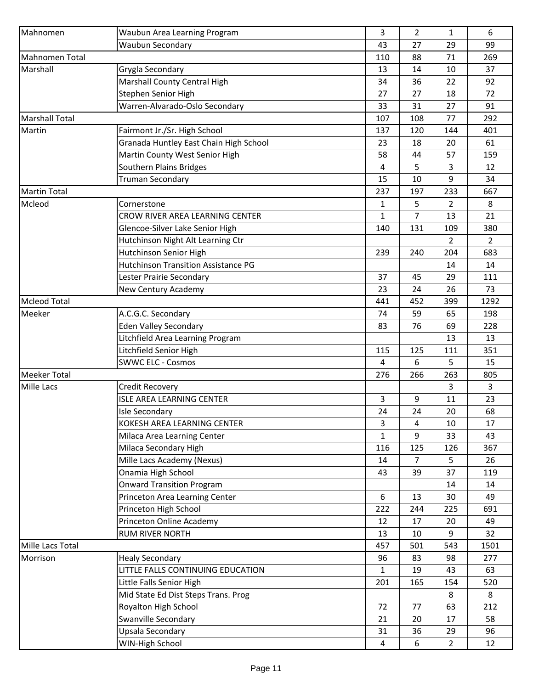| Mahnomen                                                                                                                                                                                                                                                                                                                                                                                                                                                                                                                                                                                                                                                                                                                                                                                                                                                                                                                                                               | Waubun Area Learning Program        | 3              | 2   | 1              | 6              |
|------------------------------------------------------------------------------------------------------------------------------------------------------------------------------------------------------------------------------------------------------------------------------------------------------------------------------------------------------------------------------------------------------------------------------------------------------------------------------------------------------------------------------------------------------------------------------------------------------------------------------------------------------------------------------------------------------------------------------------------------------------------------------------------------------------------------------------------------------------------------------------------------------------------------------------------------------------------------|-------------------------------------|----------------|-----|----------------|----------------|
|                                                                                                                                                                                                                                                                                                                                                                                                                                                                                                                                                                                                                                                                                                                                                                                                                                                                                                                                                                        | Waubun Secondary                    | 43             | 27  | 29             | 99             |
| <b>Mahnomen Total</b>                                                                                                                                                                                                                                                                                                                                                                                                                                                                                                                                                                                                                                                                                                                                                                                                                                                                                                                                                  |                                     | 110            | 88  | 71             | 269            |
| Marshall                                                                                                                                                                                                                                                                                                                                                                                                                                                                                                                                                                                                                                                                                                                                                                                                                                                                                                                                                               |                                     | 13             | 14  | 10             | 37             |
|                                                                                                                                                                                                                                                                                                                                                                                                                                                                                                                                                                                                                                                                                                                                                                                                                                                                                                                                                                        | Marshall County Central High        | 34             | 36  | 22             | 92             |
|                                                                                                                                                                                                                                                                                                                                                                                                                                                                                                                                                                                                                                                                                                                                                                                                                                                                                                                                                                        | Stephen Senior High                 | 27             | 27  | 18             | 72             |
|                                                                                                                                                                                                                                                                                                                                                                                                                                                                                                                                                                                                                                                                                                                                                                                                                                                                                                                                                                        | Warren-Alvarado-Oslo Secondary      | 33             | 31  | 27             | 91             |
| Grygla Secondary<br><b>Marshall Total</b><br>Fairmont Jr./Sr. High School<br>Granada Huntley East Chain High School<br>Martin County West Senior High<br>Southern Plains Bridges<br><b>Truman Secondary</b><br>Cornerstone<br>CROW RIVER AREA LEARNING CENTER<br>Glencoe-Silver Lake Senior High<br>Hutchinson Night Alt Learning Ctr<br>Hutchinson Senior High<br><b>Hutchinson Transition Assistance PG</b><br>Lester Prairie Secondary<br>New Century Academy<br>A.C.G.C. Secondary<br><b>Eden Valley Secondary</b><br>Litchfield Area Learning Program<br>Litchfield Senior High<br><b>SWWC ELC - Cosmos</b><br>Credit Recovery<br><b>ISLE AREA LEARNING CENTER</b><br><b>Isle Secondary</b><br>KOKESH AREA LEARNING CENTER<br>Milaca Area Learning Center<br>Milaca Secondary High<br>Mille Lacs Academy (Nexus)<br>Onamia High School<br><b>Onward Transition Program</b><br>Princeton Area Learning Center<br>Princeton High School<br>Princeton Online Academy |                                     | 107            | 108 | 77             | 292            |
| Martin                                                                                                                                                                                                                                                                                                                                                                                                                                                                                                                                                                                                                                                                                                                                                                                                                                                                                                                                                                 |                                     | 137            | 120 | 144            | 401            |
|                                                                                                                                                                                                                                                                                                                                                                                                                                                                                                                                                                                                                                                                                                                                                                                                                                                                                                                                                                        |                                     | 23             | 18  | 20             | 61             |
|                                                                                                                                                                                                                                                                                                                                                                                                                                                                                                                                                                                                                                                                                                                                                                                                                                                                                                                                                                        |                                     | 58             | 44  | 57             | 159            |
|                                                                                                                                                                                                                                                                                                                                                                                                                                                                                                                                                                                                                                                                                                                                                                                                                                                                                                                                                                        |                                     | 4              | 5   | 3              | 12             |
|                                                                                                                                                                                                                                                                                                                                                                                                                                                                                                                                                                                                                                                                                                                                                                                                                                                                                                                                                                        |                                     | 15             | 10  | 9              | 34             |
| <b>Martin Total</b>                                                                                                                                                                                                                                                                                                                                                                                                                                                                                                                                                                                                                                                                                                                                                                                                                                                                                                                                                    |                                     | 237            | 197 | 233            | 667            |
| Mcleod                                                                                                                                                                                                                                                                                                                                                                                                                                                                                                                                                                                                                                                                                                                                                                                                                                                                                                                                                                 |                                     | 1              | 5   | 2              | 8              |
|                                                                                                                                                                                                                                                                                                                                                                                                                                                                                                                                                                                                                                                                                                                                                                                                                                                                                                                                                                        |                                     | $\mathbf{1}$   | 7   | 13             | 21             |
|                                                                                                                                                                                                                                                                                                                                                                                                                                                                                                                                                                                                                                                                                                                                                                                                                                                                                                                                                                        |                                     | 140            | 131 | 109            | 380            |
|                                                                                                                                                                                                                                                                                                                                                                                                                                                                                                                                                                                                                                                                                                                                                                                                                                                                                                                                                                        |                                     |                |     | $\overline{2}$ | $\overline{2}$ |
|                                                                                                                                                                                                                                                                                                                                                                                                                                                                                                                                                                                                                                                                                                                                                                                                                                                                                                                                                                        |                                     | 239            | 240 | 204            | 683            |
|                                                                                                                                                                                                                                                                                                                                                                                                                                                                                                                                                                                                                                                                                                                                                                                                                                                                                                                                                                        |                                     |                |     | 14             | 14             |
|                                                                                                                                                                                                                                                                                                                                                                                                                                                                                                                                                                                                                                                                                                                                                                                                                                                                                                                                                                        |                                     | 37             | 45  | 29             | 111            |
|                                                                                                                                                                                                                                                                                                                                                                                                                                                                                                                                                                                                                                                                                                                                                                                                                                                                                                                                                                        |                                     | 23             | 24  | 26             | 73             |
| <b>Mcleod Total</b>                                                                                                                                                                                                                                                                                                                                                                                                                                                                                                                                                                                                                                                                                                                                                                                                                                                                                                                                                    |                                     | 441            | 452 | 399            | 1292           |
| Meeker                                                                                                                                                                                                                                                                                                                                                                                                                                                                                                                                                                                                                                                                                                                                                                                                                                                                                                                                                                 |                                     | 74             | 59  | 65             | 198            |
|                                                                                                                                                                                                                                                                                                                                                                                                                                                                                                                                                                                                                                                                                                                                                                                                                                                                                                                                                                        |                                     | 83             | 76  | 69             | 228            |
|                                                                                                                                                                                                                                                                                                                                                                                                                                                                                                                                                                                                                                                                                                                                                                                                                                                                                                                                                                        |                                     |                |     | 13             | 13             |
|                                                                                                                                                                                                                                                                                                                                                                                                                                                                                                                                                                                                                                                                                                                                                                                                                                                                                                                                                                        |                                     | 115            | 125 | 111            | 351            |
|                                                                                                                                                                                                                                                                                                                                                                                                                                                                                                                                                                                                                                                                                                                                                                                                                                                                                                                                                                        |                                     | $\overline{4}$ | 6   | 5              | 15             |
| <b>Meeker Total</b>                                                                                                                                                                                                                                                                                                                                                                                                                                                                                                                                                                                                                                                                                                                                                                                                                                                                                                                                                    |                                     | 276            | 266 | 263            | 805            |
| Mille Lacs                                                                                                                                                                                                                                                                                                                                                                                                                                                                                                                                                                                                                                                                                                                                                                                                                                                                                                                                                             |                                     |                |     | 3              | 3              |
|                                                                                                                                                                                                                                                                                                                                                                                                                                                                                                                                                                                                                                                                                                                                                                                                                                                                                                                                                                        |                                     | 3              | 9   | 11             | 23             |
|                                                                                                                                                                                                                                                                                                                                                                                                                                                                                                                                                                                                                                                                                                                                                                                                                                                                                                                                                                        |                                     | 24             | 24  | 20             | 68             |
|                                                                                                                                                                                                                                                                                                                                                                                                                                                                                                                                                                                                                                                                                                                                                                                                                                                                                                                                                                        |                                     | 3              | 4   | 10             | 17             |
|                                                                                                                                                                                                                                                                                                                                                                                                                                                                                                                                                                                                                                                                                                                                                                                                                                                                                                                                                                        |                                     | $\mathbf{1}$   | 9   | 33             | 43             |
|                                                                                                                                                                                                                                                                                                                                                                                                                                                                                                                                                                                                                                                                                                                                                                                                                                                                                                                                                                        |                                     | 116            | 125 | 126            | 367            |
|                                                                                                                                                                                                                                                                                                                                                                                                                                                                                                                                                                                                                                                                                                                                                                                                                                                                                                                                                                        |                                     | 14             | 7   | 5              | 26             |
|                                                                                                                                                                                                                                                                                                                                                                                                                                                                                                                                                                                                                                                                                                                                                                                                                                                                                                                                                                        |                                     | 43             | 39  | 37             | 119            |
|                                                                                                                                                                                                                                                                                                                                                                                                                                                                                                                                                                                                                                                                                                                                                                                                                                                                                                                                                                        |                                     |                |     | 14             | 14             |
|                                                                                                                                                                                                                                                                                                                                                                                                                                                                                                                                                                                                                                                                                                                                                                                                                                                                                                                                                                        |                                     | 6              | 13  | 30             | 49             |
|                                                                                                                                                                                                                                                                                                                                                                                                                                                                                                                                                                                                                                                                                                                                                                                                                                                                                                                                                                        |                                     | 222            | 244 | 225            | 691            |
|                                                                                                                                                                                                                                                                                                                                                                                                                                                                                                                                                                                                                                                                                                                                                                                                                                                                                                                                                                        |                                     | 12             | 17  | 20             | 49             |
|                                                                                                                                                                                                                                                                                                                                                                                                                                                                                                                                                                                                                                                                                                                                                                                                                                                                                                                                                                        | <b>RUM RIVER NORTH</b>              | 13             | 10  | 9              | 32             |
| Mille Lacs Total                                                                                                                                                                                                                                                                                                                                                                                                                                                                                                                                                                                                                                                                                                                                                                                                                                                                                                                                                       |                                     | 457            | 501 | 543            | 1501           |
| Morrison                                                                                                                                                                                                                                                                                                                                                                                                                                                                                                                                                                                                                                                                                                                                                                                                                                                                                                                                                               | <b>Healy Secondary</b>              | 96             | 83  | 98             | 277            |
|                                                                                                                                                                                                                                                                                                                                                                                                                                                                                                                                                                                                                                                                                                                                                                                                                                                                                                                                                                        | LITTLE FALLS CONTINUING EDUCATION   | $\mathbf{1}$   | 19  | 43             | 63             |
|                                                                                                                                                                                                                                                                                                                                                                                                                                                                                                                                                                                                                                                                                                                                                                                                                                                                                                                                                                        | Little Falls Senior High            | 201            | 165 | 154            | 520            |
|                                                                                                                                                                                                                                                                                                                                                                                                                                                                                                                                                                                                                                                                                                                                                                                                                                                                                                                                                                        | Mid State Ed Dist Steps Trans. Prog |                |     | 8              | 8              |
|                                                                                                                                                                                                                                                                                                                                                                                                                                                                                                                                                                                                                                                                                                                                                                                                                                                                                                                                                                        | Royalton High School                | 72             | 77  | 63             | 212            |
|                                                                                                                                                                                                                                                                                                                                                                                                                                                                                                                                                                                                                                                                                                                                                                                                                                                                                                                                                                        | Swanville Secondary                 | 21             | 20  | 17             | 58             |
|                                                                                                                                                                                                                                                                                                                                                                                                                                                                                                                                                                                                                                                                                                                                                                                                                                                                                                                                                                        | Upsala Secondary                    | 31             | 36  | 29             | 96             |
|                                                                                                                                                                                                                                                                                                                                                                                                                                                                                                                                                                                                                                                                                                                                                                                                                                                                                                                                                                        | WIN-High School                     | 4              | 6   | $\overline{2}$ | 12             |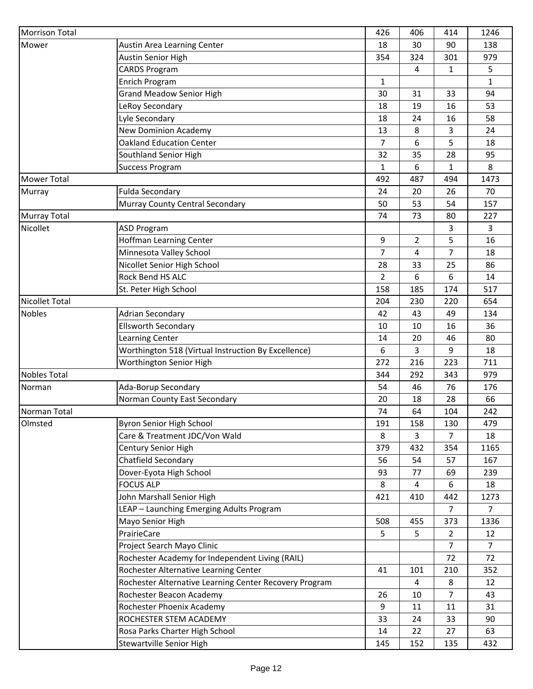| <b>Morrison Total</b> |                                                        | 426            | 406            | 414            | 1246           |
|-----------------------|--------------------------------------------------------|----------------|----------------|----------------|----------------|
| Mower                 | Austin Area Learning Center                            | 18             | 30             | 90             | 138            |
|                       | Austin Senior High                                     | 354            | 324            | 301            | 979            |
|                       | <b>CARDS Program</b>                                   |                | 4              | 1              | 5              |
|                       | Enrich Program                                         | $\mathbf{1}$   |                |                | $\mathbf{1}$   |
|                       | <b>Grand Meadow Senior High</b>                        | 30             | 31             | 33             | 94             |
|                       | LeRoy Secondary                                        | 18             | 19             | 16             | 53             |
|                       | Lyle Secondary                                         | 18             | 24             | 16             | 58             |
|                       | <b>New Dominion Academy</b>                            | 13             | 8              | 3              | 24             |
|                       | <b>Oakland Education Center</b>                        | $\overline{7}$ | 6              | 5              | 18             |
|                       | Southland Senior High                                  | 32             | 35             | 28             | 95             |
|                       | <b>Success Program</b>                                 | 1              | 6              | 1              | 8              |
| <b>Mower Total</b>    |                                                        | 492            | 487            | 494            | 1473           |
| Murray                | <b>Fulda Secondary</b>                                 | 24             | 20             | 26             | 70             |
|                       | Murray County Central Secondary                        | 50             | 53             | 54             | 157            |
| <b>Murray Total</b>   |                                                        | 74             | 73             | 80             | 227            |
| Nicollet              | <b>ASD Program</b>                                     |                |                | 3              | 3              |
|                       | Hoffman Learning Center                                | 9              | $\overline{2}$ | 5              | 16             |
|                       | Minnesota Valley School                                | $\overline{7}$ | 4              | 7              | 18             |
|                       | Nicollet Senior High School                            | 28             | 33             | 25             | 86             |
|                       | Rock Bend HS ALC                                       | $\overline{2}$ | 6              | 6              | 14             |
|                       | St. Peter High School                                  | 158            | 185            | 174            | 517            |
| <b>Nicollet Total</b> |                                                        | 204            | 230            | 220            | 654            |
| <b>Nobles</b>         | Adrian Secondary                                       | 42             | 43             | 49             | 134            |
|                       | <b>Ellsworth Secondary</b>                             | 10             | 10             | 16             | 36             |
|                       | Learning Center                                        | 14             | 20             | 46             | 80             |
|                       | Worthington 518 (Virtual Instruction By Excellence)    | 6              | 3              | 9              | 18             |
|                       | Worthington Senior High                                | 272            | 216            | 223            | 711            |
| <b>Nobles Total</b>   |                                                        | 344            | 292            | 343            | 979            |
| Norman                | Ada-Borup Secondary                                    | 54             | 46             | 76             | 176            |
|                       | Norman County East Secondary                           | 20             | 18             | 28             | 66             |
| Norman Total          |                                                        | 74             | 64             | 104            | 242            |
| Olmsted               | <b>Byron Senior High School</b>                        | 191            | 158            | 130            | 479            |
|                       | Care & Treatment JDC/Von Wald                          | 8              | 3              | $\overline{7}$ | 18             |
|                       | Century Senior High                                    | 379            | 432            | 354            | 1165           |
|                       | Chatfield Secondary                                    | 56             | 54             | 57             | 167            |
|                       | Dover-Eyota High School                                | 93             | 77             | 69             | 239            |
|                       | <b>FOCUS ALP</b>                                       | 8              | $\overline{4}$ | 6              | 18             |
|                       | John Marshall Senior High                              | 421            | 410            | 442            | 1273           |
|                       | LEAP - Launching Emerging Adults Program               |                |                | $\overline{7}$ | $\overline{7}$ |
|                       | Mayo Senior High                                       | 508            | 455            | 373            | 1336           |
|                       | PrairieCare                                            | 5              | 5              | 2              | 12             |
|                       | Project Search Mayo Clinic                             |                |                | 7              | $\overline{7}$ |
|                       | Rochester Academy for Independent Living (RAIL)        |                |                | 72             | 72             |
|                       | Rochester Alternative Learning Center                  | 41             | 101            | 210            | 352            |
|                       | Rochester Alternative Learning Center Recovery Program |                | 4              | 8              | 12             |
|                       | Rochester Beacon Academy                               | 26             | 10             | 7              | 43             |
|                       | Rochester Phoenix Academy                              | 9              | 11             | 11             | 31             |
|                       | ROCHESTER STEM ACADEMY                                 | 33             | 24             | 33             | 90             |
|                       | Rosa Parks Charter High School                         | 14             | 22             | 27             | 63             |
|                       |                                                        |                |                |                |                |
|                       | <b>Stewartville Senior High</b>                        | 145            | 152            | 135            | 432            |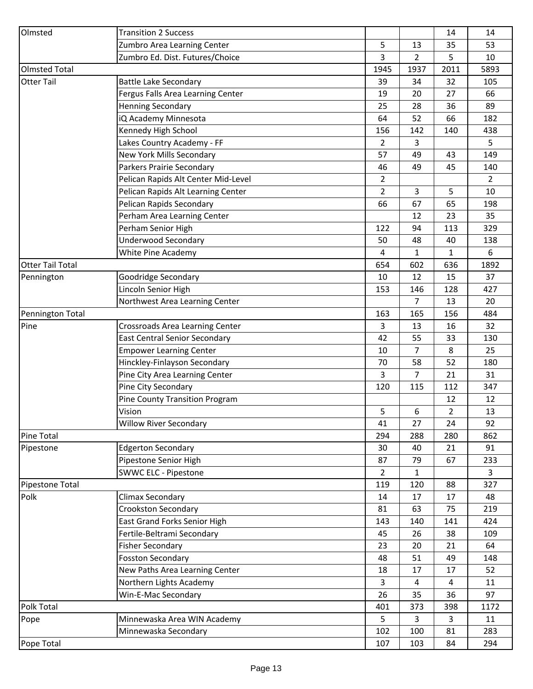| Olmsted                 | <b>Transition 2 Success</b>           |                |              | 14             | 14             |
|-------------------------|---------------------------------------|----------------|--------------|----------------|----------------|
|                         | Zumbro Area Learning Center           | 5              | 13           | 35             | 53             |
|                         | Zumbro Ed. Dist. Futures/Choice       | 3              | 2            | 5              | 10             |
| <b>Olmsted Total</b>    |                                       | 1945           | 1937         | 2011           | 5893           |
| <b>Otter Tail</b>       | <b>Battle Lake Secondary</b>          | 39             | 34           | 32             | 105            |
|                         | Fergus Falls Area Learning Center     | 19             | 20           | 27             | 66             |
|                         | <b>Henning Secondary</b>              | 25             | 28           | 36             | 89             |
|                         | iQ Academy Minnesota                  | 64             | 52           | 66             | 182            |
|                         | Kennedy High School                   | 156            | 142          | 140            | 438            |
|                         | Lakes Country Academy - FF            | 2              | 3            |                | 5              |
|                         | New York Mills Secondary              | 57             | 49           | 43             | 149            |
|                         | Parkers Prairie Secondary             | 46             | 49           | 45             | 140            |
|                         | Pelican Rapids Alt Center Mid-Level   | $\overline{2}$ |              |                | $\overline{2}$ |
|                         | Pelican Rapids Alt Learning Center    | $\overline{2}$ | 3            | 5              | 10             |
|                         | Pelican Rapids Secondary              | 66             | 67           | 65             | 198            |
|                         | Perham Area Learning Center           |                | 12           | 23             | 35             |
|                         | Perham Senior High                    | 122            | 94           | 113            | 329            |
|                         | <b>Underwood Secondary</b>            | 50             | 48           | 40             | 138            |
|                         | White Pine Academy                    | 4              | 1            | 1              | 6              |
| <b>Otter Tail Total</b> |                                       | 654            | 602          | 636            | 1892           |
| Pennington              | Goodridge Secondary                   | 10             | 12           | 15             | 37             |
|                         | Lincoln Senior High                   | 153            | 146          | 128            | 427            |
|                         | Northwest Area Learning Center        |                | 7            | 13             | 20             |
| Pennington Total        |                                       | 163            | 165          | 156            | 484            |
| Pine                    | Crossroads Area Learning Center       | $\overline{3}$ | 13           | 16             | 32             |
|                         | <b>East Central Senior Secondary</b>  | 42             | 55           | 33             | 130            |
|                         | <b>Empower Learning Center</b>        | 10             | 7            | 8              | 25             |
|                         | Hinckley-Finlayson Secondary          | 70             | 58           | 52             | 180            |
|                         | Pine City Area Learning Center        | 3              | 7            | 21             | 31             |
|                         | Pine City Secondary                   | 120            | 115          | 112            | 347            |
|                         | <b>Pine County Transition Program</b> |                |              | 12             | 12             |
|                         | Vision                                | 5              | 6            | $\overline{2}$ | 13             |
|                         | <b>Willow River Secondary</b>         | 41             | 27           | 24             | 92             |
| <b>Pine Total</b>       |                                       | 294            | 288          | 280            | 862            |
| Pipestone               | <b>Edgerton Secondary</b>             | 30             | 40           | 21             | 91             |
|                         | Pipestone Senior High                 | 87             | 79           | 67             | 233            |
|                         | <b>SWWC ELC - Pipestone</b>           | $\overline{2}$ | $\mathbf{1}$ |                | $\overline{3}$ |
| Pipestone Total         |                                       | 119            | 120          | 88             | 327            |
| Polk                    | Climax Secondary                      | 14             | 17           | 17             | 48             |
|                         | Crookston Secondary                   | 81             | 63           | 75             | 219            |
|                         | East Grand Forks Senior High          | 143            | 140          | 141            | 424            |
|                         | Fertile-Beltrami Secondary            | 45             | 26           | 38             | 109            |
|                         | <b>Fisher Secondary</b>               | 23             | 20           | 21             | 64             |
|                         | <b>Fosston Secondary</b>              | 48             | 51           | 49             | 148            |
|                         | New Paths Area Learning Center        | 18             | 17           | 17             | 52             |
|                         | Northern Lights Academy               | 3              | 4            | 4              | 11             |
|                         | Win-E-Mac Secondary                   | 26             | 35           | 36             | 97             |
| Polk Total              |                                       | 401            | 373          | 398            | 1172           |
| Pope                    | Minnewaska Area WIN Academy           | 5              | 3            | 3              | 11             |
|                         | Minnewaska Secondary                  | 102            | 100          | 81             | 283            |
| Pope Total              |                                       | 107            | 103          | 84             | 294            |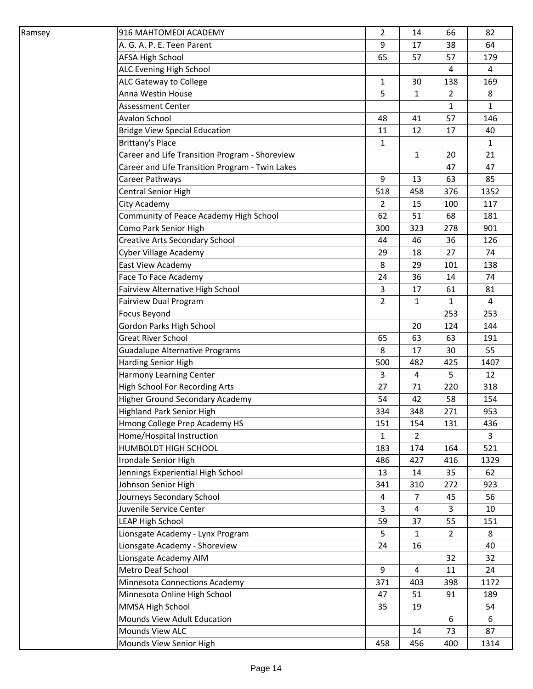| Ramsey | 916 MAHTOMEDI ACADEMY                           | $\overline{2}$ | 14             | 66             | 82             |
|--------|-------------------------------------------------|----------------|----------------|----------------|----------------|
|        | A. G. A. P. E. Teen Parent                      | 9              | 17             | 38             | 64             |
|        | AFSA High School                                | 65             | 57             | 57             | 179            |
|        | ALC Evening High School                         |                |                | 4              | $\overline{4}$ |
|        | ALC Gateway to College                          | $\mathbf{1}$   | 30             | 138            | 169            |
|        | Anna Westin House                               | 5              | 1              | $\overline{2}$ | 8              |
|        | Assessment Center                               |                |                | $\mathbf{1}$   | $\mathbf{1}$   |
|        | <b>Avalon School</b>                            | 48             | 41             | 57             | 146            |
|        | <b>Bridge View Special Education</b>            | 11             | 12             | 17             | 40             |
|        | Brittany's Place                                | $\mathbf{1}$   |                |                | 1              |
|        | Career and Life Transition Program - Shoreview  |                | $\mathbf{1}$   | 20             | 21             |
|        | Career and Life Transition Program - Twin Lakes |                |                | 47             | 47             |
|        | Career Pathways                                 | 9              | 13             | 63             | 85             |
|        | Central Senior High                             | 518            | 458            | 376            | 1352           |
|        | City Academy                                    | $\overline{2}$ | 15             | 100            | 117            |
|        | Community of Peace Academy High School          | 62             | 51             | 68             | 181            |
|        | Como Park Senior High                           | 300            | 323            | 278            | 901            |
|        | Creative Arts Secondary School                  | 44             | 46             | 36             | 126            |
|        | Cyber Village Academy                           | 29             | 18             | 27             | 74             |
|        | East View Academy                               | 8              | 29             | 101            | 138            |
|        | Face To Face Academy                            | 24             | 36             | 14             | 74             |
|        | Fairview Alternative High School                | 3              | 17             | 61             | 81             |
|        | Fairview Dual Program                           | $\overline{2}$ | 1              | $\mathbf{1}$   | 4              |
|        | Focus Beyond                                    |                |                | 253            | 253            |
|        | Gordon Parks High School                        |                | 20             | 124            | 144            |
|        | <b>Great River School</b>                       | 65             | 63             | 63             | 191            |
|        | <b>Guadalupe Alternative Programs</b>           | 8              | 17             | 30             | 55             |
|        | Harding Senior High                             | 500            | 482            | 425            | 1407           |
|        | Harmony Learning Center                         | 3              | 4              | 5              | 12             |
|        | <b>High School For Recording Arts</b>           | 27             | 71             | 220            | 318            |
|        | <b>Higher Ground Secondary Academy</b>          | 54             | 42             | 58             | 154            |
|        | <b>Highland Park Senior High</b>                | 334            | 348            | 271            | 953            |
|        | Hmong College Prep Academy HS                   | 151            | 154            | 131            | 436            |
|        | Home/Hospital Instruction                       | $\mathbf{1}$   | $\overline{2}$ |                | 3              |
|        | HUMBOLDT HIGH SCHOOL                            | 183            | 174            | 164            | 521            |
|        | Irondale Senior High                            | 486            | 427            | 416            | 1329           |
|        | Jennings Experiential High School               | 13             | 14             | 35             | 62             |
|        | Johnson Senior High                             | 341            | 310            | 272            | 923            |
|        | Journeys Secondary School                       | 4              | 7              | 45             | 56             |
|        | Juvenile Service Center                         | 3              | 4              | 3              | 10             |
|        | <b>LEAP High School</b>                         | 59             | 37             | 55             | 151            |
|        | Lionsgate Academy - Lynx Program                | 5              | 1              | $\overline{2}$ | 8              |
|        | Lionsgate Academy - Shoreview                   | 24             | 16             |                | 40             |
|        | Lionsgate Academy AIM                           |                |                | 32             | 32             |
|        | Metro Deaf School                               | 9              | 4              | 11             | 24             |
|        | Minnesota Connections Academy                   | 371            | 403            | 398            | 1172           |
|        | Minnesota Online High School                    | 47             | 51             | 91             | 189            |
|        | MMSA High School                                | 35             | 19             |                | 54             |
|        | Mounds View Adult Education                     |                |                | 6              | 6              |
|        | Mounds View ALC                                 |                | 14             | 73             | 87             |
|        | Mounds View Senior High                         | 458            | 456            | 400            | 1314           |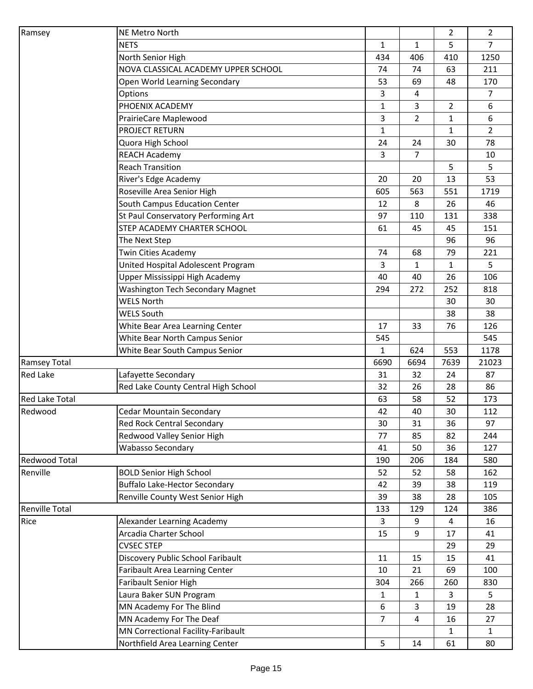| Ramsey                | <b>NE Metro North</b>                       |                |                | $\overline{2}$ | $\overline{2}$ |
|-----------------------|---------------------------------------------|----------------|----------------|----------------|----------------|
|                       | <b>NETS</b>                                 | $\mathbf{1}$   | $\mathbf{1}$   | 5              | $\overline{7}$ |
|                       | North Senior High                           | 434            | 406            | 410            | 1250           |
|                       | NOVA CLASSICAL ACADEMY UPPER SCHOOL         | 74             | 74             | 63             | 211            |
|                       | Open World Learning Secondary               | 53             | 69             | 48             | 170            |
|                       | Options                                     | 3              | 4              |                | 7              |
|                       | PHOENIX ACADEMY                             | $\mathbf{1}$   | 3              | $\overline{2}$ | 6              |
|                       | PrairieCare Maplewood                       | 3              | 2              | 1              | 6              |
|                       | PROJECT RETURN                              | $\mathbf{1}$   |                | $\mathbf{1}$   | $\overline{2}$ |
|                       | Quora High School                           | 24             | 24             | 30             | 78             |
|                       | <b>REACH Academy</b>                        | 3              | $\overline{7}$ |                | 10             |
|                       | <b>Reach Transition</b>                     |                |                | 5              | 5              |
|                       | River's Edge Academy                        | 20             | 20             | 13             | 53             |
|                       | Roseville Area Senior High                  | 605            | 563            | 551            | 1719           |
|                       | South Campus Education Center               | 12             | 8              | 26             | 46             |
|                       | St Paul Conservatory Performing Art         | 97             | 110            | 131            | 338            |
|                       | STEP ACADEMY CHARTER SCHOOL                 |                |                |                |                |
|                       |                                             | 61             | 45             | 45             | 151<br>96      |
|                       | The Next Step<br><b>Twin Cities Academy</b> |                |                | 96             |                |
|                       |                                             | 74             | 68             | 79             | 221            |
|                       | United Hospital Adolescent Program          | 3              | $\mathbf 1$    | 1              | 5              |
|                       | Upper Mississippi High Academy              | 40             | 40             | 26             | 106            |
|                       | <b>Washington Tech Secondary Magnet</b>     | 294            | 272            | 252            | 818            |
|                       | <b>WELS North</b>                           |                |                | 30             | 30             |
|                       | <b>WELS South</b>                           |                |                | 38             | 38             |
|                       | White Bear Area Learning Center             | 17             | 33             | 76             | 126            |
|                       | White Bear North Campus Senior              | 545            |                |                | 545            |
|                       | White Bear South Campus Senior              | 1              | 624            | 553            | 1178           |
| <b>Ramsey Total</b>   |                                             | 6690           | 6694           | 7639           | 21023          |
| <b>Red Lake</b>       | Lafayette Secondary                         | 31             | 32             | 24             | 87             |
|                       | Red Lake County Central High School         | 32             | 26             | 28             | 86             |
| <b>Red Lake Total</b> |                                             | 63             | 58             | 52             | 173            |
| Redwood               | <b>Cedar Mountain Secondary</b>             | 42             | 40             | 30             | 112            |
|                       | Red Rock Central Secondary                  | 30             | 31             | 36             | 97             |
|                       | Redwood Valley Senior High                  | 77             | 85             | 82             | 244            |
|                       | <b>Wabasso Secondary</b>                    | 41             | 50             | 36             | 127            |
| <b>Redwood Total</b>  |                                             | 190            | 206            | 184            | 580            |
| Renville              | <b>BOLD Senior High School</b>              | 52             | 52             | 58             | 162            |
|                       | <b>Buffalo Lake-Hector Secondary</b>        | 42             | 39             | 38             | 119            |
|                       | Renville County West Senior High            | 39             | 38             | 28             | 105            |
| <b>Renville Total</b> |                                             | 133            | 129            | 124            | 386            |
| Rice                  | Alexander Learning Academy                  | 3              | 9              | $\overline{4}$ | 16             |
|                       | Arcadia Charter School                      | 15             | 9              | 17             | 41             |
|                       | <b>CVSEC STEP</b>                           |                |                | 29             | 29             |
|                       | Discovery Public School Faribault           | 11             | 15             | 15             | 41             |
|                       | Faribault Area Learning Center              | 10             | 21             | 69             | 100            |
|                       | <b>Faribault Senior High</b>                | 304            | 266            | 260            | 830            |
|                       | Laura Baker SUN Program                     | 1              | 1              | 3              | 5              |
|                       | MN Academy For The Blind                    | $6\,$          | 3              | 19             | 28             |
|                       | MN Academy For The Deaf                     | $\overline{7}$ | 4              | 16             | 27             |
|                       | MN Correctional Facility-Faribault          |                |                | 1              | $\mathbf{1}$   |
|                       | Northfield Area Learning Center             | 5              | 14             | 61             | 80             |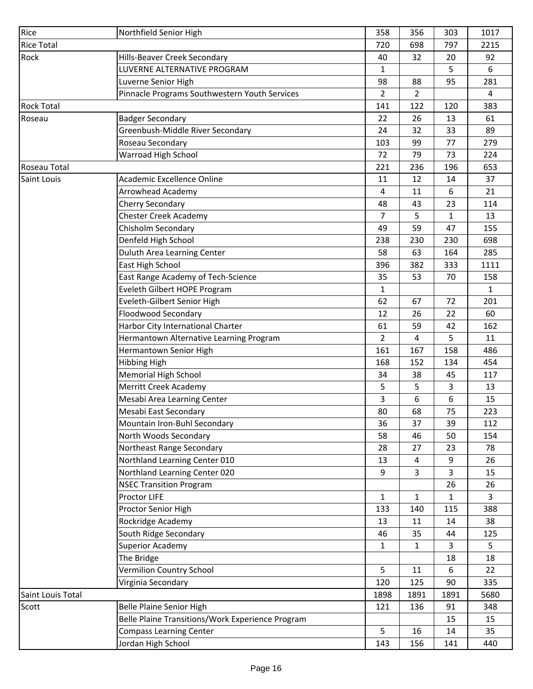| Rice              | Northfield Senior High                               | 358            | 356  | 303  | 1017         |
|-------------------|------------------------------------------------------|----------------|------|------|--------------|
| <b>Rice Total</b> |                                                      | 720            | 698  | 797  | 2215         |
| Rock              | Hills-Beaver Creek Secondary                         | 40             | 32   | 20   | 92           |
|                   | LUVERNE ALTERNATIVE PROGRAM                          | $\mathbf{1}$   |      | 5    | 6            |
|                   | Luverne Senior High                                  | 98             | 88   | 95   | 281          |
|                   | Pinnacle Programs Southwestern Youth Services        | $\overline{2}$ | 2    |      | 4            |
| <b>Rock Total</b> |                                                      | 141            | 122  | 120  | 383          |
| Roseau            | <b>Badger Secondary</b>                              | 22             | 26   | 13   | 61           |
|                   | Greenbush-Middle River Secondary                     | 24             | 32   | 33   | 89           |
|                   | Roseau Secondary                                     | 103            | 99   | 77   | 279          |
|                   | Warroad High School                                  | 72             | 79   | 73   | 224          |
| Roseau Total      |                                                      | 221            | 236  | 196  | 653          |
| Saint Louis       | <b>Academic Excellence Online</b>                    | 11             | 12   | 14   | 37           |
|                   | Arrowhead Academy                                    | 4              | 11   | 6    | 21           |
|                   | Cherry Secondary                                     | 48             | 43   | 23   | 114          |
|                   | <b>Chester Creek Academy</b>                         | 7              | 5    | 1    | 13           |
|                   | Chisholm Secondary                                   | 49             | 59   | 47   | 155          |
|                   | Denfeld High School                                  | 238            | 230  | 230  | 698          |
|                   | Duluth Area Learning Center                          | 58             | 63   | 164  | 285          |
|                   | East High School                                     | 396            | 382  | 333  | 1111         |
|                   | East Range Academy of Tech-Science                   | 35             | 53   | 70   | 158          |
|                   | Eveleth Gilbert HOPE Program                         | $\mathbf{1}$   |      |      | $\mathbf{1}$ |
|                   | Eveleth-Gilbert Senior High                          | 62             | 67   | 72   | 201          |
|                   | Floodwood Secondary                                  | 12             | 26   | 22   | 60           |
|                   | Harbor City International Charter                    | 61             | 59   | 42   | 162          |
|                   | Hermantown Alternative Learning Program              | $\overline{2}$ | 4    | 5    | 11           |
|                   | Hermantown Senior High                               | 161            | 167  | 158  | 486          |
|                   |                                                      | 168            | 152  | 134  | 454          |
|                   | <b>Hibbing High</b>                                  | 34             | 38   |      | 117          |
|                   | <b>Memorial High School</b><br>Merritt Creek Academy | 5              | 5    | 45   | 13           |
|                   |                                                      |                |      | 3    |              |
|                   | Mesabi Area Learning Center<br>Mesabi East Secondary | 3<br>80        | 6    | 6    | 15<br>223    |
|                   |                                                      |                | 68   | 75   |              |
|                   | Mountain Iron-Buhl Secondary                         | 36             | 37   | 39   | 112          |
|                   | North Woods Secondary                                | 58             | 46   | 50   | 154          |
|                   | Northeast Range Secondary                            | 28             | 27   | 23   | 78           |
|                   | Northland Learning Center 010                        | 13             | 4    | 9    | 26           |
|                   | Northland Learning Center 020                        | 9              | 3    | 3    | 15           |
|                   | <b>NSEC Transition Program</b>                       |                |      | 26   | 26           |
|                   | Proctor LIFE                                         | $\mathbf{1}$   | 1    | 1    | 3            |
|                   | Proctor Senior High                                  | 133            | 140  | 115  | 388          |
|                   | Rockridge Academy                                    | 13             | 11   | 14   | 38           |
|                   | South Ridge Secondary                                | 46             | 35   | 44   | 125          |
|                   | Superior Academy                                     | $\mathbf{1}$   | 1    | 3    | 5            |
|                   | The Bridge                                           |                |      | 18   | 18           |
|                   | Vermilion Country School                             | 5              | 11   | 6    | 22           |
|                   | Virginia Secondary                                   | 120            | 125  | 90   | 335          |
| Saint Louis Total |                                                      | 1898           | 1891 | 1891 | 5680         |
| Scott             | Belle Plaine Senior High                             | 121            | 136  | 91   | 348          |
|                   | Belle Plaine Transitions/Work Experience Program     |                |      | 15   | 15           |
|                   | <b>Compass Learning Center</b>                       | 5              | 16   | 14   | 35           |
|                   | Jordan High School                                   | 143            | 156  | 141  | 440          |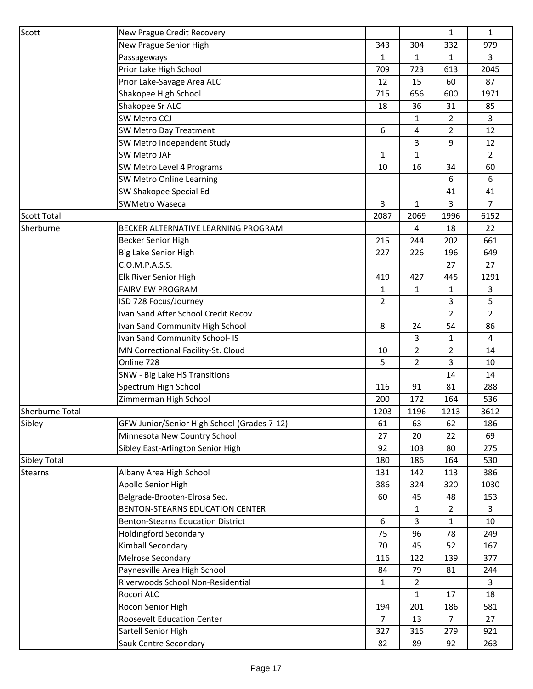| Scott                  | New Prague Credit Recovery                  |                |                | 1              | $\mathbf{1}$   |
|------------------------|---------------------------------------------|----------------|----------------|----------------|----------------|
|                        | New Prague Senior High                      | 343            | 304            | 332            | 979            |
|                        | Passageways                                 | $\mathbf{1}$   | $\mathbf 1$    | 1              | 3              |
|                        | Prior Lake High School                      | 709            | 723            | 613            | 2045           |
|                        | Prior Lake-Savage Area ALC                  | 12             | 15             | 60             | 87             |
|                        | Shakopee High School                        | 715            | 656            | 600            | 1971           |
|                        | Shakopee Sr ALC                             | 18             | 36             | 31             | 85             |
|                        | SW Metro CCJ                                |                | 1              | 2              | 3              |
|                        | SW Metro Day Treatment                      | 6              | 4              | $\overline{2}$ | 12             |
|                        | SW Metro Independent Study                  |                | 3              | 9              | 12             |
|                        | <b>SW Metro JAF</b>                         | $\mathbf{1}$   | 1              |                | $\overline{2}$ |
|                        | SW Metro Level 4 Programs                   | 10             | 16             | 34             | 60             |
|                        | SW Metro Online Learning                    |                |                | 6              | 6              |
|                        | SW Shakopee Special Ed                      |                |                | 41             | 41             |
|                        | <b>SWMetro Waseca</b>                       | 3              | $\mathbf 1$    | 3              | 7              |
| <b>Scott Total</b>     |                                             | 2087           | 2069           | 1996           | 6152           |
| Sherburne              | BECKER ALTERNATIVE LEARNING PROGRAM         |                | 4              | 18             | 22             |
|                        | <b>Becker Senior High</b>                   | 215            | 244            | 202            | 661            |
|                        | Big Lake Senior High                        | 227            | 226            | 196            | 649            |
|                        | C.O.M.P.A.S.S.                              |                |                | 27             | 27             |
|                        | Elk River Senior High                       | 419            | 427            | 445            | 1291           |
|                        | <b>FAIRVIEW PROGRAM</b>                     | $\mathbf{1}$   | 1              | 1              | 3              |
|                        | ISD 728 Focus/Journey                       | $\overline{2}$ |                | 3              | 5              |
|                        | Ivan Sand After School Credit Recov         |                |                | 2              | $\overline{2}$ |
|                        | Ivan Sand Community High School             | 8              | 24             | 54             | 86             |
|                        | Ivan Sand Community School- IS              |                | 3              | 1              | $\overline{4}$ |
|                        | MN Correctional Facility-St. Cloud          | 10             | $\overline{2}$ | 2              | 14             |
|                        | Online 728                                  | 5              | 2              | 3              | 10             |
|                        | SNW - Big Lake HS Transitions               |                |                | 14             | 14             |
|                        | Spectrum High School                        | 116            | 91             | 81             | 288            |
|                        | Zimmerman High School                       | 200            | 172            | 164            | 536            |
| <b>Sherburne Total</b> |                                             | 1203           | 1196           | 1213           | 3612           |
| Sibley                 | GFW Junior/Senior High School (Grades 7-12) | 61             | 63             | 62             | 186            |
|                        | Minnesota New Country School                | 27             | 20             | 22             | 69             |
|                        | Sibley East-Arlington Senior High           | 92             | 103            | 80             | 275            |
| <b>Sibley Total</b>    |                                             | 180            | 186            | 164            | 530            |
| <b>Stearns</b>         | Albany Area High School                     | 131            | 142            | 113            | 386            |
|                        | Apollo Senior High                          | 386            | 324            | 320            | 1030           |
|                        | Belgrade-Brooten-Elrosa Sec.                | 60             | 45             | 48             | 153            |
|                        | BENTON-STEARNS EDUCATION CENTER             |                | 1              | $\overline{2}$ | 3              |
|                        | <b>Benton-Stearns Education District</b>    | 6              | 3              | 1              | 10             |
|                        | <b>Holdingford Secondary</b>                | 75             | 96             | 78             | 249            |
|                        | Kimball Secondary                           | 70             | 45             | 52             | 167            |
|                        | Melrose Secondary                           | 116            | 122            | 139            | 377            |
|                        | Paynesville Area High School                | 84             | 79             | 81             | 244            |
|                        | Riverwoods School Non-Residential           | $\mathbf{1}$   | $\overline{2}$ |                | 3              |
|                        | Rocori ALC                                  |                | 1              | 17             | 18             |
|                        | Rocori Senior High                          | 194            | 201            | 186            | 581            |
|                        | <b>Roosevelt Education Center</b>           | $\overline{7}$ | 13             | 7              | 27             |
|                        | Sartell Senior High                         | 327            | 315            | 279            | 921            |
|                        | Sauk Centre Secondary                       | 82             | 89             | 92             | 263            |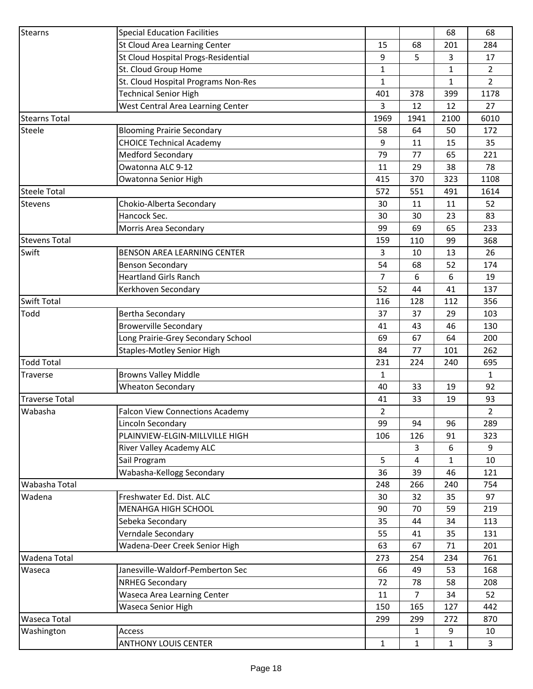| <b>Stearns</b>        | <b>Special Education Facilities</b>    |                |              | 68               | 68             |
|-----------------------|----------------------------------------|----------------|--------------|------------------|----------------|
|                       | St Cloud Area Learning Center          | 15             | 68           | 201              | 284            |
|                       | St Cloud Hospital Progs-Residential    | 9              | 5            | 3                | 17             |
|                       | St. Cloud Group Home                   | $\mathbf{1}$   |              | $\mathbf{1}$     | $\overline{2}$ |
|                       | St. Cloud Hospital Programs Non-Res    | $\mathbf{1}$   |              | $\mathbf{1}$     | $\overline{2}$ |
|                       | <b>Technical Senior High</b>           | 401            | 378          | 399              | 1178           |
|                       | West Central Area Learning Center      | 3              | 12           | 12               | 27             |
| <b>Stearns Total</b>  |                                        | 1969           | 1941         | 2100             | 6010           |
| Steele                | <b>Blooming Prairie Secondary</b>      | 58             | 64           | 50               | 172            |
|                       | <b>CHOICE Technical Academy</b>        | 9              | 11           | 15               | 35             |
|                       | <b>Medford Secondary</b>               | 79             | 77           | 65               | 221            |
|                       | Owatonna ALC 9-12                      | 11             | 29           | 38               | 78             |
|                       | Owatonna Senior High                   | 415            | 370          | 323              | 1108           |
| <b>Steele Total</b>   |                                        | 572            | 551          | 491              | 1614           |
| <b>Stevens</b>        | Chokio-Alberta Secondary               | 30             | 11           | 11               | 52             |
|                       | Hancock Sec.                           | 30             | 30           | 23               | 83             |
|                       | Morris Area Secondary                  | 99             | 69           | 65               | 233            |
| <b>Stevens Total</b>  |                                        | 159            | 110          | 99               | 368            |
| Swift                 | <b>BENSON AREA LEARNING CENTER</b>     | 3              | 10           | 13               | 26             |
|                       | <b>Benson Secondary</b>                | 54             | 68           | 52               | 174            |
|                       | <b>Heartland Girls Ranch</b>           | 7              | 6            | 6                | 19             |
|                       | Kerkhoven Secondary                    | 52             | 44           | 41               | 137            |
| <b>Swift Total</b>    |                                        | 116            | 128          | 112              | 356            |
| Todd                  | Bertha Secondary                       | 37             | 37           | 29               | 103            |
|                       | <b>Browerville Secondary</b>           | 41             | 43           | 46               | 130            |
|                       | Long Prairie-Grey Secondary School     | 69             | 67           | 64               | 200            |
|                       | <b>Staples-Motley Senior High</b>      | 84             | 77           | 101              | 262            |
| <b>Todd Total</b>     |                                        | 231            | 224          | 240              | 695            |
| Traverse              | <b>Browns Valley Middle</b>            | $\mathbf{1}$   |              |                  | $\mathbf{1}$   |
|                       | <b>Wheaton Secondary</b>               | 40             | 33           | 19               | 92             |
| <b>Traverse Total</b> |                                        | 41             | 33           | 19               | 93             |
| Wabasha               | <b>Falcon View Connections Academy</b> | $\overline{2}$ |              |                  | $\overline{2}$ |
|                       | Lincoln Secondary                      | 99             | 94           | 96               | 289            |
|                       | PLAINVIEW-ELGIN-MILLVILLE HIGH         | 106            | 126          | 91               | 323            |
|                       | River Valley Academy ALC               |                | 3            | $\boldsymbol{6}$ | 9              |
|                       | Sail Program                           | 5              | 4            | $\mathbf{1}$     | 10             |
|                       | Wabasha-Kellogg Secondary              | 36             | 39           | 46               | 121            |
| Wabasha Total         |                                        | 248            | 266          | 240              | 754            |
| Wadena                | Freshwater Ed. Dist. ALC               | 30             | 32           | 35               | 97             |
|                       | <b>MENAHGA HIGH SCHOOL</b>             | 90             | 70           | 59               | 219            |
|                       | Sebeka Secondary                       | 35             | 44           | 34               | 113            |
|                       | Verndale Secondary                     | 55             | 41           | 35               | 131            |
|                       | Wadena-Deer Creek Senior High          | 63             | 67           | 71               | 201            |
| Wadena Total          |                                        | 273            | 254          | 234              | 761            |
| Waseca                | Janesville-Waldorf-Pemberton Sec       | 66             | 49           | 53               | 168            |
|                       | <b>NRHEG Secondary</b>                 | 72             | 78           | 58               | 208            |
|                       | Waseca Area Learning Center            | 11             | 7            | 34               | 52             |
|                       | Waseca Senior High                     | 150            | 165          | 127              | 442            |
| <b>Waseca Total</b>   |                                        | 299            | 299          | 272              | 870            |
| Washington            | Access                                 |                | 1            | 9                | 10             |
|                       | <b>ANTHONY LOUIS CENTER</b>            | $\mathbf{1}$   | $\mathbf{1}$ | $\mathbf{1}$     | 3              |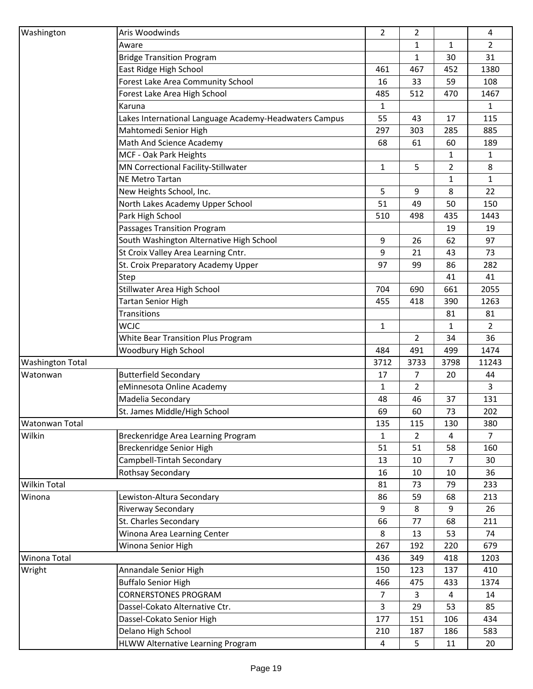| Washington              | Aris Woodwinds                                          | $\overline{2}$ | 2              |                | 4              |
|-------------------------|---------------------------------------------------------|----------------|----------------|----------------|----------------|
|                         | Aware                                                   |                | $\mathbf 1$    | 1              | $\overline{2}$ |
|                         | <b>Bridge Transition Program</b>                        |                | 1              | 30             | 31             |
|                         | East Ridge High School                                  | 461            | 467            | 452            | 1380           |
|                         | Forest Lake Area Community School                       | 16             | 33             | 59             | 108            |
|                         | Forest Lake Area High School                            | 485            | 512            | 470            | 1467           |
|                         | Karuna                                                  | $\mathbf{1}$   |                |                | $\mathbf{1}$   |
|                         | Lakes International Language Academy-Headwaters Campus  | 55             | 43             | 17             | 115            |
|                         | Mahtomedi Senior High                                   | 297            | 303            | 285            | 885            |
|                         | Math And Science Academy                                | 68             | 61             | 60             | 189            |
|                         | MCF - Oak Park Heights                                  |                |                | $\mathbf{1}$   | $\mathbf{1}$   |
|                         | MN Correctional Facility-Stillwater                     | $\mathbf{1}$   | 5              | $\overline{2}$ | 8              |
|                         | NE Metro Tartan                                         |                |                | $\mathbf{1}$   | $\mathbf{1}$   |
|                         | New Heights School, Inc.                                | 5              | 9              | 8              | 22             |
|                         | North Lakes Academy Upper School                        | 51             | 49             | 50             | 150            |
|                         | Park High School                                        | 510            | 498            | 435            | 1443           |
|                         | Passages Transition Program                             |                |                | 19             | 19             |
|                         | South Washington Alternative High School                | 9              | 26             | 62             | 97             |
|                         | St Croix Valley Area Learning Cntr.                     | 9              | 21             | 43             | 73             |
|                         | St. Croix Preparatory Academy Upper                     | 97             | 99             | 86             | 282            |
|                         | Step                                                    |                |                | 41             | 41             |
|                         | Stillwater Area High School                             | 704            | 690            | 661            | 2055           |
|                         | <b>Tartan Senior High</b>                               | 455            | 418            | 390            | 1263           |
|                         | Transitions                                             |                |                | 81             | 81             |
|                         | WCJC                                                    | $\mathbf{1}$   |                | 1              | $\overline{2}$ |
|                         | White Bear Transition Plus Program                      |                | $\overline{2}$ | 34             | 36             |
|                         | Woodbury High School                                    | 484            | 491            | 499            | 1474           |
| <b>Washington Total</b> |                                                         | 3712           | 3733           | 3798           | 11243          |
| Watonwan                | <b>Butterfield Secondary</b>                            | 17             | 7              | 20             | 44             |
|                         | eMinnesota Online Academy                               | $\mathbf{1}$   | $\overline{2}$ |                | $\overline{3}$ |
|                         | Madelia Secondary                                       | 48             | 46             | 37             | 131            |
|                         | St. James Middle/High School                            | 69             | 60             | 73             | 202            |
| Watonwan Total          |                                                         | 135            | 115            | 130            | 380            |
| Wilkin                  | Breckenridge Area Learning Program                      | $\mathbf{1}$   | $\overline{2}$ | 4              | $\overline{7}$ |
|                         | Breckenridge Senior High                                | 51             | 51             | 58             | 160            |
|                         | Campbell-Tintah Secondary                               | 13             | 10             | 7              | 30             |
|                         | Rothsay Secondary                                       | 16             | 10             | 10             | 36             |
| Wilkin Total            |                                                         | 81             | 73             | 79             | 233            |
| Winona                  | Lewiston-Altura Secondary                               | 86             | 59             | 68             | 213            |
|                         | <b>Riverway Secondary</b>                               | 9              | 8              | 9              | 26             |
|                         | St. Charles Secondary                                   | 66             | 77             | 68             | 211            |
|                         |                                                         |                | 13             | 53             | 74             |
|                         |                                                         |                |                |                |                |
|                         | Winona Area Learning Center                             | 8              |                |                |                |
|                         | Winona Senior High                                      | 267            | 192            | 220            | 679            |
| Winona Total            |                                                         | 436            | 349            | 418            | 1203           |
| Wright                  | Annandale Senior High                                   | 150            | 123            | 137            | 410            |
|                         | <b>Buffalo Senior High</b>                              | 466            | 475            | 433            | 1374           |
|                         | <b>CORNERSTONES PROGRAM</b>                             | $\overline{7}$ | 3              | $\overline{4}$ | 14             |
|                         | Dassel-Cokato Alternative Ctr.                          | 3              | 29             | 53             | 85             |
|                         | Dassel-Cokato Senior High                               | 177            | 151            | 106            | 434            |
|                         | Delano High School<br>HLWW Alternative Learning Program | 210<br>4       | 187<br>5       | 186<br>11      | 583<br>20      |